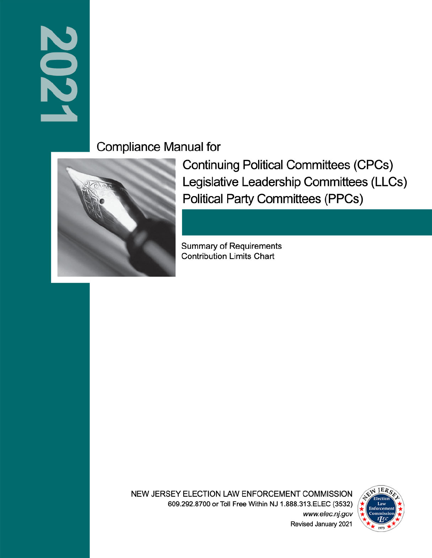# 2021

**Compliance Manual for** 



**Continuing Political Committees (CPCs)** Legislative Leadership Committees (LLCs) **Political Party Committees (PPCs)** 

**Summary of Requirements Contribution Limits Chart** 

NEW JERSEY ELECTION LAW ENFORCEMENT COMMISSION 609.292.8700 or Toll Free Within NJ 1.888.313.ELEC (3532) www.elec.nj.gov



Revised January 2021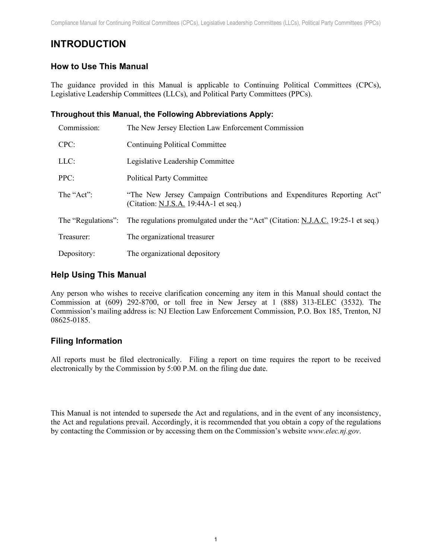# <span id="page-1-0"></span>**INTRODUCTION**

# <span id="page-1-1"></span>**How to Use This Manual**

The guidance provided in this Manual is applicable to Continuing Political Committees (CPCs), Legislative Leadership Committees (LLCs), and Political Party Committees (PPCs).

#### <span id="page-1-2"></span>**Throughout this Manual, the Following Abbreviations Apply:**

| Commission:        | The New Jersey Election Law Enforcement Commission                                                              |
|--------------------|-----------------------------------------------------------------------------------------------------------------|
| CPC:               | Continuing Political Committee                                                                                  |
| LLC:               | Legislative Leadership Committee                                                                                |
| PPC:               | <b>Political Party Committee</b>                                                                                |
| The "Act":         | "The New Jersey Campaign Contributions and Expenditures Reporting Act"<br>(Citation: N.J.S.A. 19:44A-1 et seq.) |
| The "Regulations": | The regulations promulgated under the "Act" (Citation: N.J.A.C. 19:25-1 et seq.)                                |
| Treasurer:         | The organizational treasurer                                                                                    |
| Depository:        | The organizational depository                                                                                   |

#### <span id="page-1-3"></span>**Help Using This Manual**

Any person who wishes to receive clarification concerning any item in this Manual should contact the Commission at (609) 292-8700, or toll free in New Jersey at 1 (888) 313-ELEC (3532). The Commission's mailing address is: NJ Election Law Enforcement Commission, P.O. Box 185, Trenton, NJ 08625-0185.

# <span id="page-1-4"></span>**Filing Information**

All reports must be filed electronically. Filing a report on time requires the report to be received electronically by the Commission by 5:00 P.M. on the filing due date.

This Manual is not intended to supersede the Act and regulations, and in the event of any inconsistency, the Act and regulations prevail. Accordingly, it is recommended that you obtain a copy of the regulations by contacting the Commission or by accessing them on the Commission's website *www.elec.nj.gov*.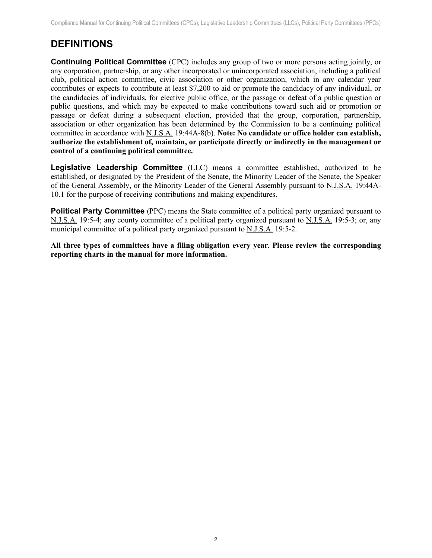# <span id="page-2-0"></span>**DEFINITIONS**

<span id="page-2-1"></span>**Continuing Political Committee** (CPC) includes any group of two or more persons acting jointly, or any corporation, partnership, or any other incorporated or unincorporated association, including a political club, political action committee, civic association or other organization, which in any calendar year contributes or expects to contribute at least \$7,200 to aid or promote the candidacy of any individual, or the candidacies of individuals, for elective public office, or the passage or defeat of a public question or public questions, and which may be expected to make contributions toward such aid or promotion or passage or defeat during a subsequent election, provided that the group, corporation, partnership, association or other organization has been determined by the Commission to be a continuing political committee in accordance with N.J.S.A. 19:44A-8(b). **Note: No candidate or office holder can establish, authorize the establishment of, maintain, or participate directly or indirectly in the management or control of a continuing political committee.**

<span id="page-2-2"></span>**Legislative Leadership Committee** (LLC) means a committee established, authorized to be established, or designated by the President of the Senate, the Minority Leader of the Senate, the Speaker of the General Assembly, or the Minority Leader of the General Assembly pursuant to N.J.S.A. 19:44A-10.1 for the purpose of receiving contributions and making expenditures.

<span id="page-2-3"></span>**Political Party Committee** (PPC) means the State committee of a political party organized pursuant to N.J.S.A. 19:5-4; any county committee of a political party organized pursuant to N.J.S.A. 19:5-3; or, any municipal committee of a political party organized pursuant to N.J.S.A. 19:5-2.

**All three types of committees have a filing obligation every year. Please review the corresponding reporting charts in the manual for more information.**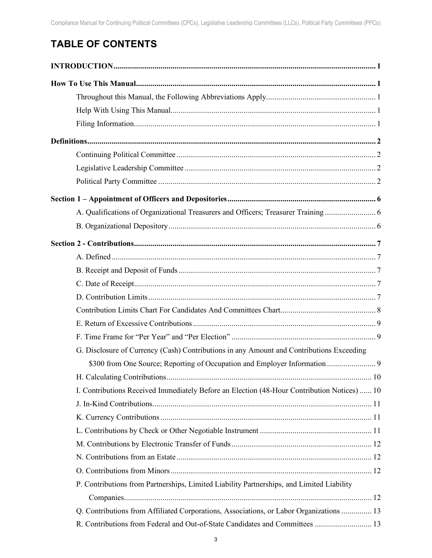# **TABLE OF CONTENTS**

| A. Qualifications of Organizational Treasurers and Officers; Treasurer Training             |    |
|---------------------------------------------------------------------------------------------|----|
|                                                                                             |    |
|                                                                                             |    |
|                                                                                             |    |
|                                                                                             |    |
|                                                                                             |    |
|                                                                                             |    |
|                                                                                             |    |
|                                                                                             |    |
|                                                                                             |    |
| G. Disclosure of Currency (Cash) Contributions in any Amount and Contributions Exceeding    |    |
| \$300 from One Source; Reporting of Occupation and Employer Information  9                  |    |
|                                                                                             | 10 |
| I. Contributions Received Immediately Before an Election (48-Hour Contribution Notices)  10 |    |
|                                                                                             |    |
|                                                                                             |    |
|                                                                                             |    |
|                                                                                             |    |
|                                                                                             |    |
|                                                                                             |    |
| P. Contributions from Partnerships, Limited Liability Partnerships, and Limited Liability   |    |
|                                                                                             |    |
| Q. Contributions from Affiliated Corporations, Associations, or Labor Organizations  13     |    |
| R. Contributions from Federal and Out-of-State Candidates and Committees  13                |    |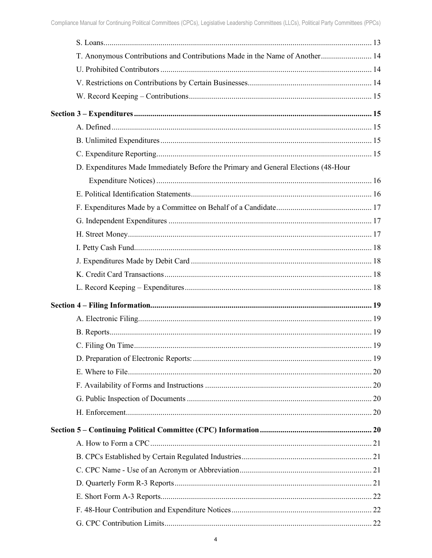| T. Anonymous Contributions and Contributions Made in the Name of Another 14        |  |
|------------------------------------------------------------------------------------|--|
|                                                                                    |  |
|                                                                                    |  |
|                                                                                    |  |
|                                                                                    |  |
|                                                                                    |  |
|                                                                                    |  |
|                                                                                    |  |
| D. Expenditures Made Immediately Before the Primary and General Elections (48-Hour |  |
|                                                                                    |  |
|                                                                                    |  |
|                                                                                    |  |
|                                                                                    |  |
|                                                                                    |  |
|                                                                                    |  |
|                                                                                    |  |
|                                                                                    |  |
|                                                                                    |  |
|                                                                                    |  |
|                                                                                    |  |
|                                                                                    |  |
|                                                                                    |  |
|                                                                                    |  |
|                                                                                    |  |
|                                                                                    |  |
|                                                                                    |  |
|                                                                                    |  |
|                                                                                    |  |
|                                                                                    |  |
|                                                                                    |  |
|                                                                                    |  |
|                                                                                    |  |
|                                                                                    |  |
|                                                                                    |  |
|                                                                                    |  |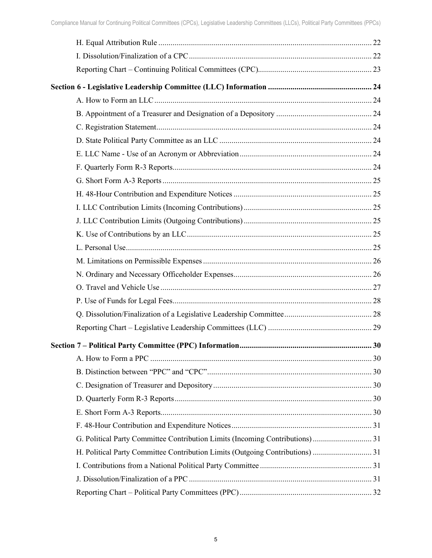| G. Political Party Committee Contribution Limits (Incoming Contributions)  31 |
|-------------------------------------------------------------------------------|
| H. Political Party Committee Contribution Limits (Outgoing Contributions) 31  |
|                                                                               |
|                                                                               |
|                                                                               |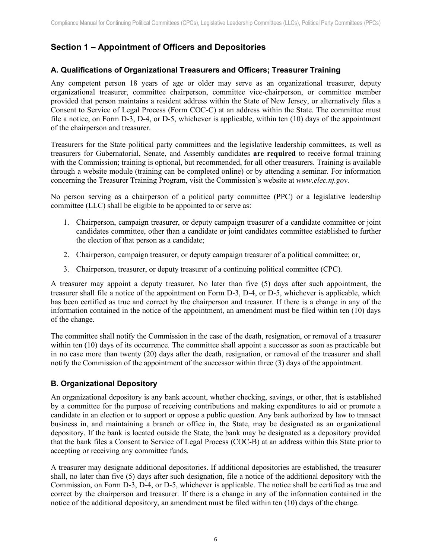# <span id="page-6-0"></span>**Section 1 – Appointment of Officers and Depositories**

#### <span id="page-6-1"></span>**A. Qualifications of Organizational Treasurers and Officers; Treasurer Training**

Any competent person 18 years of age or older may serve as an organizational treasurer, deputy organizational treasurer, committee chairperson, committee vice-chairperson, or committee member provided that person maintains a resident address within the State of New Jersey, or alternatively files a Consent to Service of Legal Process (Form COC-C) at an address within the State. The committee must file a notice, on Form D-3, D-4, or D-5, whichever is applicable, within ten (10) days of the appointment of the chairperson and treasurer.

Treasurers for the State political party committees and the legislative leadership committees, as well as treasurers for Gubernatorial, Senate, and Assembly candidates **are required** to receive formal training with the Commission; training is optional, but recommended, for all other treasurers. Training is available through a website module (training can be completed online) or by attending a seminar. For information concerning the Treasurer Training Program, visit the Commission's website at *www.elec.nj.gov*.

No person serving as a chairperson of a political party committee (PPC) or a legislative leadership committee (LLC) shall be eligible to be appointed to or serve as:

- 1. Chairperson, campaign treasurer, or deputy campaign treasurer of a candidate committee or joint candidates committee, other than a candidate or joint candidates committee established to further the election of that person as a candidate;
- 2. Chairperson, campaign treasurer, or deputy campaign treasurer of a political committee; or,
- 3. Chairperson, treasurer, or deputy treasurer of a continuing political committee (CPC).

A treasurer may appoint a deputy treasurer. No later than five (5) days after such appointment, the treasurer shall file a notice of the appointment on Form D-3, D-4, or D-5, whichever is applicable, which has been certified as true and correct by the chairperson and treasurer. If there is a change in any of the information contained in the notice of the appointment, an amendment must be filed within ten (10) days of the change.

The committee shall notify the Commission in the case of the death, resignation, or removal of a treasurer within ten (10) days of its occurrence. The committee shall appoint a successor as soon as practicable but in no case more than twenty (20) days after the death, resignation, or removal of the treasurer and shall notify the Commission of the appointment of the successor within three (3) days of the appointment.

# <span id="page-6-2"></span>**B. Organizational Depository**

An organizational depository is any bank account, whether checking, savings, or other, that is established by a committee for the purpose of receiving contributions and making expenditures to aid or promote a candidate in an election or to support or oppose a public question. Any bank authorized by law to transact business in, and maintaining a branch or office in, the State, may be designated as an organizational depository. If the bank is located outside the State, the bank may be designated as a depository provided that the bank files a Consent to Service of Legal Process (COC-B) at an address within this State prior to accepting or receiving any committee funds.

A treasurer may designate additional depositories. If additional depositories are established, the treasurer shall, no later than five (5) days after such designation, file a notice of the additional depository with the Commission, on Form D-3, D-4, or D-5, whichever is applicable. The notice shall be certified as true and correct by the chairperson and treasurer. If there is a change in any of the information contained in the notice of the additional depository, an amendment must be filed within ten (10) days of the change.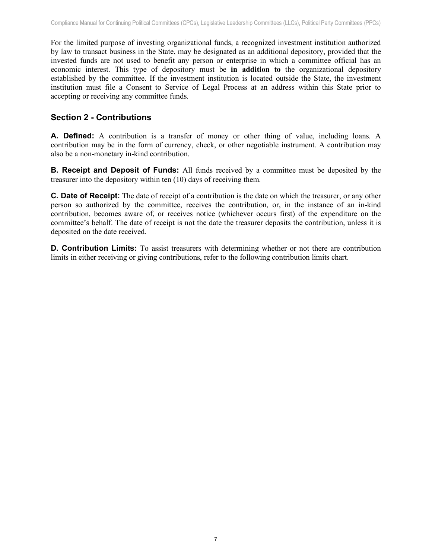For the limited purpose of investing organizational funds, a recognized investment institution authorized by law to transact business in the State, may be designated as an additional depository, provided that the invested funds are not used to benefit any person or enterprise in which a committee official has an economic interest. This type of depository must be **in addition to** the organizational depository established by the committee. If the investment institution is located outside the State, the investment institution must file a Consent to Service of Legal Process at an address within this State prior to accepting or receiving any committee funds.

# <span id="page-7-0"></span>**Section 2 - Contributions**

<span id="page-7-1"></span>**A. Defined:** A contribution is a transfer of money or other thing of value, including loans. A contribution may be in the form of currency, check, or other negotiable instrument. A contribution may also be a non-monetary in-kind contribution.

<span id="page-7-2"></span>**B. Receipt and Deposit of Funds:** All funds received by a committee must be deposited by the treasurer into the depository within ten (10) days of receiving them.

<span id="page-7-3"></span>**C. Date of Receipt:** The date of receipt of a contribution is the date on which the treasurer, or any other person so authorized by the committee, receives the contribution, or, in the instance of an in-kind contribution, becomes aware of, or receives notice (whichever occurs first) of the expenditure on the committee's behalf. The date of receipt is not the date the treasurer deposits the contribution, unless it is deposited on the date received.

<span id="page-7-4"></span>**D. Contribution Limits:** To assist treasurers with determining whether or not there are contribution limits in either receiving or giving contributions, refer to the following contribution limits chart.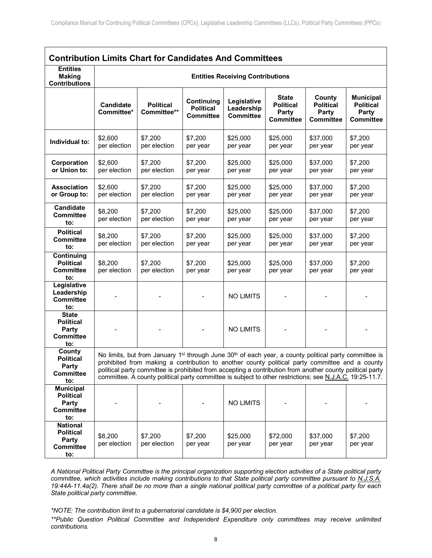# **Contribution Limits Chart for Candidates And Committees**

| <b>Entities</b><br><b>Making</b><br><b>Contributions</b>                       |                                |                                                                                                                                                                                                                                                                                                                                                                                                                                                          |                                                    | <b>Entities Receiving Contributions</b>       |                                                               |                                                         |                                                                   |
|--------------------------------------------------------------------------------|--------------------------------|----------------------------------------------------------------------------------------------------------------------------------------------------------------------------------------------------------------------------------------------------------------------------------------------------------------------------------------------------------------------------------------------------------------------------------------------------------|----------------------------------------------------|-----------------------------------------------|---------------------------------------------------------------|---------------------------------------------------------|-------------------------------------------------------------------|
|                                                                                | <b>Candidate</b><br>Committee* | <b>Political</b><br>Committee**                                                                                                                                                                                                                                                                                                                                                                                                                          | Continuing<br><b>Political</b><br><b>Committee</b> | Legislative<br>Leadership<br><b>Committee</b> | <b>State</b><br><b>Political</b><br>Party<br><b>Committee</b> | County<br><b>Political</b><br>Party<br><b>Committee</b> | <b>Municipal</b><br><b>Political</b><br>Party<br><b>Committee</b> |
| Individual to:                                                                 | \$2,600<br>per election        | \$7,200<br>per election                                                                                                                                                                                                                                                                                                                                                                                                                                  | \$7,200<br>per year                                | \$25,000<br>per year                          | \$25,000<br>per year                                          | \$37,000<br>per year                                    | \$7,200<br>per year                                               |
| Corporation<br>or Union to:                                                    | \$2,600<br>per election        | \$7,200<br>per election                                                                                                                                                                                                                                                                                                                                                                                                                                  | \$7,200<br>per year                                | \$25,000<br>per year                          | \$25,000<br>per year                                          | \$37,000<br>per year                                    | \$7,200<br>per year                                               |
| <b>Association</b><br>or Group to:                                             | \$2,600<br>per election        | \$7,200<br>per election                                                                                                                                                                                                                                                                                                                                                                                                                                  | \$7,200<br>per year                                | \$25,000<br>per year                          | \$25,000<br>per year                                          | \$37,000<br>per year                                    | \$7,200<br>per year                                               |
| Candidate<br><b>Committee</b><br>to:                                           | \$8,200<br>per election        | \$7,200<br>per election                                                                                                                                                                                                                                                                                                                                                                                                                                  | \$7,200<br>per year                                | \$25,000<br>per year                          | \$25,000<br>per year                                          | \$37,000<br>per year                                    | \$7,200<br>per year                                               |
| <b>Political</b><br><b>Committee</b><br>to:                                    | \$8,200<br>per election        | \$7,200<br>per election                                                                                                                                                                                                                                                                                                                                                                                                                                  | \$7,200<br>per year                                | \$25,000<br>per year                          | \$25,000<br>per year                                          | \$37,000<br>per year                                    | \$7,200<br>per year                                               |
| Continuing<br><b>Political</b><br><b>Committee</b><br>to:                      | \$8,200<br>per election        | \$7,200<br>per election                                                                                                                                                                                                                                                                                                                                                                                                                                  | \$7,200<br>per year                                | \$25,000<br>per year                          | \$25,000<br>per year                                          | \$37,000<br>per year                                    | \$7,200<br>per year                                               |
| Legislative<br>Leadership<br><b>Committee</b><br>to:                           |                                |                                                                                                                                                                                                                                                                                                                                                                                                                                                          |                                                    | <b>NO LIMITS</b>                              |                                                               |                                                         |                                                                   |
| <b>State</b><br><b>Political</b><br>Party<br><b>Committee</b><br>to:           |                                |                                                                                                                                                                                                                                                                                                                                                                                                                                                          |                                                    | <b>NO LIMITS</b>                              |                                                               |                                                         |                                                                   |
| County<br><b>Political</b><br><b>Party</b><br><b>Committee</b><br>to:          |                                | No limits, but from January 1 <sup>st</sup> through June 30 <sup>th</sup> of each year, a county political party committee is<br>prohibited from making a contribution to another county political party committee and a county<br>political party committee is prohibited from accepting a contribution from another county political party<br>committee. A county political party committee is subject to other restrictions; see N.J.A.C. 19:25-11.7. |                                                    |                                               |                                                               |                                                         |                                                                   |
| <b>Municipal</b><br><b>Political</b><br>Party<br><b>Committee</b><br>to:       |                                |                                                                                                                                                                                                                                                                                                                                                                                                                                                          |                                                    | <b>NO LIMITS</b>                              |                                                               |                                                         |                                                                   |
| <b>National</b><br><b>Political</b><br><b>Party</b><br><b>Committee</b><br>to: | \$8,200<br>per election        | \$7,200<br>per election                                                                                                                                                                                                                                                                                                                                                                                                                                  | \$7,200<br>per year                                | \$25,000<br>per year                          | \$72,000<br>per year                                          | \$37,000<br>per year                                    | \$7,200<br>per year                                               |

*A National Political Party Committee is the principal organization supporting election activities of a State political party committee, which activities include making contributions to that State political party committee pursuant to N.J.S.A. 19:44A-11.4a(2). There shall be no more than a single national political party committee of a political party for each State political party committee.*

*\*NOTE: The contribution limit to a gubernatorial candidate is \$4,900 per election.*

*\*\*Public Question Political Committee and Independent Expenditure only committees may receive unlimited contributions.*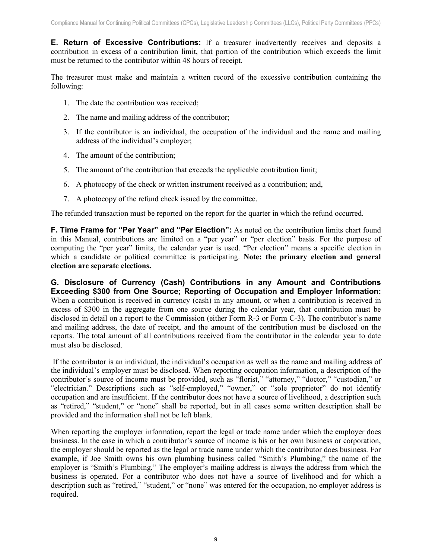<span id="page-9-0"></span>**E. Return of Excessive Contributions:** If a treasurer inadvertently receives and deposits a contribution in excess of a contribution limit, that portion of the contribution which exceeds the limit must be returned to the contributor within 48 hours of receipt.

The treasurer must make and maintain a written record of the excessive contribution containing the following:

- 1. The date the contribution was received;
- 2. The name and mailing address of the contributor;
- 3. If the contributor is an individual, the occupation of the individual and the name and mailing address of the individual's employer;
- 4. The amount of the contribution;
- 5. The amount of the contribution that exceeds the applicable contribution limit;
- 6. A photocopy of the check or written instrument received as a contribution; and,
- 7. A photocopy of the refund check issued by the committee.

The refunded transaction must be reported on the report for the quarter in which the refund occurred.

<span id="page-9-1"></span>**F. Time Frame for "Per Year" and "Per Election":** As noted on the contribution limits chart found in this Manual, contributions are limited on a "per year" or "per election" basis. For the purpose of computing the "per year" limits, the calendar year is used. "Per election" means a specific election in which a candidate or political committee is participating. **Note: the primary election and general election are separate elections.**

<span id="page-9-2"></span>**G. Disclosure of Currency (Cash) Contributions in any Amount and Contributions Exceeding \$300 from One Source; Reporting of Occupation and Employer Information:** When a contribution is received in currency (cash) in any amount, or when a contribution is received in excess of \$300 in the aggregate from one source during the calendar year, that contribution must be disclosed in detail on a report to the Commission (either Form R-3 or Form C-3). The contributor's name and mailing address, the date of receipt, and the amount of the contribution must be disclosed on the reports. The total amount of all contributions received from the contributor in the calendar year to date must also be disclosed.

If the contributor is an individual, the individual's occupation as well as the name and mailing address of the individual's employer must be disclosed. When reporting occupation information, a description of the contributor's source of income must be provided, such as "florist," "attorney," "doctor," "custodian," or "electrician." Descriptions such as "self-employed," "owner," or "sole proprietor" do not identify occupation and are insufficient. If the contributor does not have a source of livelihood, a description such as "retired," "student," or "none" shall be reported, but in all cases some written description shall be provided and the information shall not be left blank.

When reporting the employer information, report the legal or trade name under which the employer does business. In the case in which a contributor's source of income is his or her own business or corporation, the employer should be reported as the legal or trade name under which the contributor does business. For example, if Joe Smith owns his own plumbing business called "Smith's Plumbing," the name of the employer is "Smith's Plumbing." The employer's mailing address is always the address from which the business is operated. For a contributor who does not have a source of livelihood and for which a description such as "retired," "student," or "none" was entered for the occupation, no employer address is required.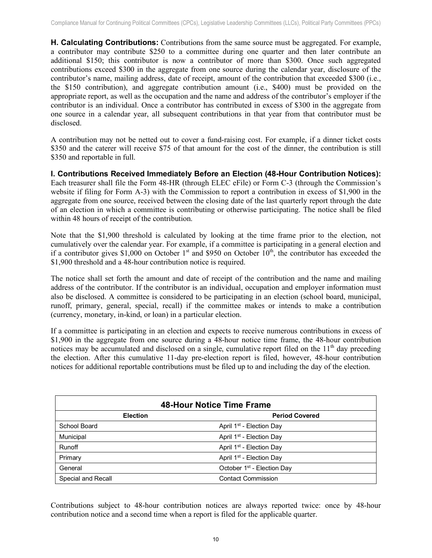<span id="page-10-0"></span>**H. Calculating Contributions:** Contributions from the same source must be aggregated. For example, a contributor may contribute \$250 to a committee during one quarter and then later contribute an additional \$150; this contributor is now a contributor of more than \$300. Once such aggregated contributions exceed \$300 in the aggregate from one source during the calendar year, disclosure of the contributor's name, mailing address, date of receipt, amount of the contribution that exceeded \$300 (i.e., the \$150 contribution), and aggregate contribution amount (i.e., \$400) must be provided on the appropriate report, as well as the occupation and the name and address of the contributor's employer if the contributor is an individual. Once a contributor has contributed in excess of \$300 in the aggregate from one source in a calendar year, all subsequent contributions in that year from that contributor must be disclosed.

A contribution may not be netted out to cover a fund-raising cost. For example, if a dinner ticket costs \$350 and the caterer will receive \$75 of that amount for the cost of the dinner, the contribution is still \$350 and reportable in full.

<span id="page-10-1"></span>**I. Contributions Received Immediately Before an Election (48-Hour Contribution Notices):** Each treasurer shall file the Form 48-HR (through ELEC eFile) or Form C-3 (through the Commission's website if filing for Form A-3) with the Commission to report a contribution in excess of \$1,900 in the aggregate from one source, received between the closing date of the last quarterly report through the date of an election in which a committee is contributing or otherwise participating. The notice shall be filed within 48 hours of receipt of the contribution.

Note that the \$1,900 threshold is calculated by looking at the time frame prior to the election, not cumulatively over the calendar year. For example, if a committee is participating in a general election and if a contributor gives \$1,000 on October  $1<sup>st</sup>$  and \$950 on October  $10<sup>th</sup>$ , the contributor has exceeded the \$1,900 threshold and a 48-hour contribution notice is required.

The notice shall set forth the amount and date of receipt of the contribution and the name and mailing address of the contributor. If the contributor is an individual, occupation and employer information must also be disclosed. A committee is considered to be participating in an election (school board, municipal, runoff, primary, general, special, recall) if the committee makes or intends to make a contribution (currency, monetary, in-kind, or loan) in a particular election.

If a committee is participating in an election and expects to receive numerous contributions in excess of \$1,900 in the aggregate from one source during a 48-hour notice time frame, the 48-hour contribution notices may be accumulated and disclosed on a single, cumulative report filed on the 11<sup>th</sup> day preceding the election. After this cumulative 11-day pre-election report is filed, however, 48-hour contribution notices for additional reportable contributions must be filed up to and including the day of the election.

|                    | <b>48-Hour Notice Time Frame</b>       |
|--------------------|----------------------------------------|
| <b>Election</b>    | <b>Period Covered</b>                  |
| School Board       | April 1 <sup>st</sup> - Election Day   |
| Municipal          | April 1 <sup>st</sup> - Election Day   |
| Runoff             | April 1 <sup>st</sup> - Election Day   |
| Primary            | April 1 <sup>st</sup> - Election Day   |
| General            | October 1 <sup>st</sup> - Election Day |
| Special and Recall | <b>Contact Commission</b>              |

Contributions subject to 48-hour contribution notices are always reported twice: once by 48-hour contribution notice and a second time when a report is filed for the applicable quarter.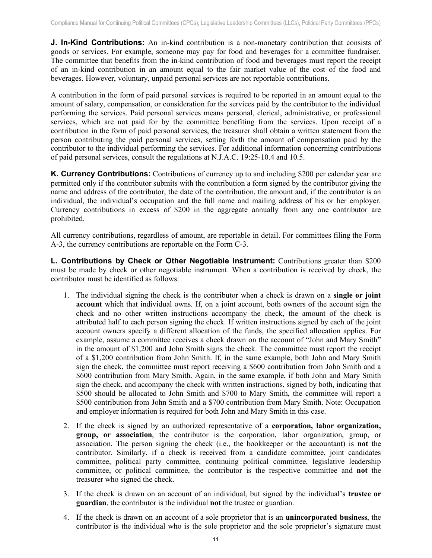<span id="page-11-0"></span>**J. In-Kind Contributions:** An in-kind contribution is a non-monetary contribution that consists of goods or services. For example, someone may pay for food and beverages for a committee fundraiser. The committee that benefits from the in-kind contribution of food and beverages must report the receipt of an in-kind contribution in an amount equal to the fair market value of the cost of the food and beverages. However, voluntary, unpaid personal services are not reportable contributions.

A contribution in the form of paid personal services is required to be reported in an amount equal to the amount of salary, compensation, or consideration for the services paid by the contributor to the individual performing the services. Paid personal services means personal, clerical, administrative, or professional services, which are not paid for by the committee benefiting from the services. Upon receipt of a contribution in the form of paid personal services, the treasurer shall obtain a written statement from the person contributing the paid personal services, setting forth the amount of compensation paid by the contributor to the individual performing the services. For additional information concerning contributions of paid personal services, consult the regulations at N.J.A.C. 19:25-10.4 and 10.5.

<span id="page-11-1"></span>**K. Currency Contributions:** Contributions of currency up to and including \$200 per calendar year are permitted only if the contributor submits with the contribution a form signed by the contributor giving the name and address of the contributor, the date of the contribution, the amount and, if the contributor is an individual, the individual's occupation and the full name and mailing address of his or her employer. Currency contributions in excess of \$200 in the aggregate annually from any one contributor are prohibited.

All currency contributions, regardless of amount, are reportable in detail. For committees filing the Form A-3, the currency contributions are reportable on the Form C-3.

<span id="page-11-2"></span>**L. Contributions by Check or Other Negotiable Instrument:** Contributions greater than \$200 must be made by check or other negotiable instrument. When a contribution is received by check, the contributor must be identified as follows:

- 1. The individual signing the check is the contributor when a check is drawn on a **single or joint account** which that individual owns. If, on a joint account, both owners of the account sign the check and no other written instructions accompany the check, the amount of the check is attributed half to each person signing the check. If written instructions signed by each of the joint account owners specify a different allocation of the funds, the specified allocation applies. For example, assume a committee receives a check drawn on the account of "John and Mary Smith" in the amount of \$1,200 and John Smith signs the check. The committee must report the receipt of a \$1,200 contribution from John Smith. If, in the same example, both John and Mary Smith sign the check, the committee must report receiving a \$600 contribution from John Smith and a \$600 contribution from Mary Smith. Again, in the same example, if both John and Mary Smith sign the check, and accompany the check with written instructions, signed by both, indicating that \$500 should be allocated to John Smith and \$700 to Mary Smith, the committee will report a \$500 contribution from John Smith and a \$700 contribution from Mary Smith. Note: Occupation and employer information is required for both John and Mary Smith in this case.
- 2. If the check is signed by an authorized representative of a **corporation, labor organization, group, or association**, the contributor is the corporation, labor organization, group, or association. The person signing the check (i.e., the bookkeeper or the accountant) is **not** the contributor. Similarly, if a check is received from a candidate committee, joint candidates committee, political party committee, continuing political committee, legislative leadership committee, or political committee, the contributor is the respective committee and **not** the treasurer who signed the check.
- 3. If the check is drawn on an account of an individual, but signed by the individual's **trustee or guardian**, the contributor is the individual **not** the trustee or guardian.
- 4. If the check is drawn on an account of a sole proprietor that is an **unincorporated business**, the contributor is the individual who is the sole proprietor and the sole proprietor's signature must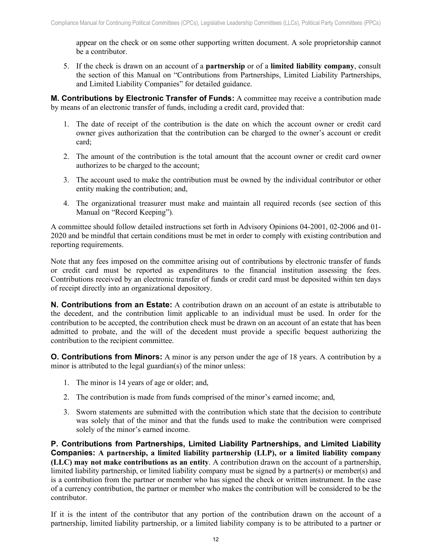appear on the check or on some other supporting written document. A sole proprietorship cannot be a contributor.

5. If the check is drawn on an account of a **partnership** or of a **limited liability company**, consult the section of this Manual on "Contributions from Partnerships, Limited Liability Partnerships, and Limited Liability Companies" for detailed guidance.

<span id="page-12-0"></span>**M. Contributions by Electronic Transfer of Funds:** A committee may receive a contribution made by means of an electronic transfer of funds, including a credit card, provided that:

- 1. The date of receipt of the contribution is the date on which the account owner or credit card owner gives authorization that the contribution can be charged to the owner's account or credit card;
- 2. The amount of the contribution is the total amount that the account owner or credit card owner authorizes to be charged to the account;
- 3. The account used to make the contribution must be owned by the individual contributor or other entity making the contribution; and,
- 4. The organizational treasurer must make and maintain all required records (see section of this Manual on "Record Keeping").

A committee should follow detailed instructions set forth in Advisory Opinions 04-2001, 02-2006 and 01- 2020 and be mindful that certain conditions must be met in order to comply with existing contribution and reporting requirements.

Note that any fees imposed on the committee arising out of contributions by electronic transfer of funds or credit card must be reported as expenditures to the financial institution assessing the fees. Contributions received by an electronic transfer of funds or credit card must be deposited within ten days of receipt directly into an organizational depository.

<span id="page-12-1"></span>**N. Contributions from an Estate:** A contribution drawn on an account of an estate is attributable to the decedent, and the contribution limit applicable to an individual must be used. In order for the contribution to be accepted, the contribution check must be drawn on an account of an estate that has been admitted to probate, and the will of the decedent must provide a specific bequest authorizing the contribution to the recipient committee.

<span id="page-12-2"></span>**O. Contributions from Minors:** A minor is any person under the age of 18 years. A contribution by a minor is attributed to the legal guardian(s) of the minor unless:

- 1. The minor is 14 years of age or older; and,
- 2. The contribution is made from funds comprised of the minor's earned income; and,
- 3. Sworn statements are submitted with the contribution which state that the decision to contribute was solely that of the minor and that the funds used to make the contribution were comprised solely of the minor's earned income.

<span id="page-12-3"></span>**P. Contributions from Partnerships, Limited Liability Partnerships, and Limited Liability Companies: A partnership, a limited liability partnership (LLP), or a limited liability company (LLC) may not make contributions as an entity**. A contribution drawn on the account of a partnership, limited liability partnership, or limited liability company must be signed by a partner(s) or member(s) and is a contribution from the partner or member who has signed the check or written instrument. In the case of a currency contribution, the partner or member who makes the contribution will be considered to be the contributor.

If it is the intent of the contributor that any portion of the contribution drawn on the account of a partnership, limited liability partnership, or a limited liability company is to be attributed to a partner or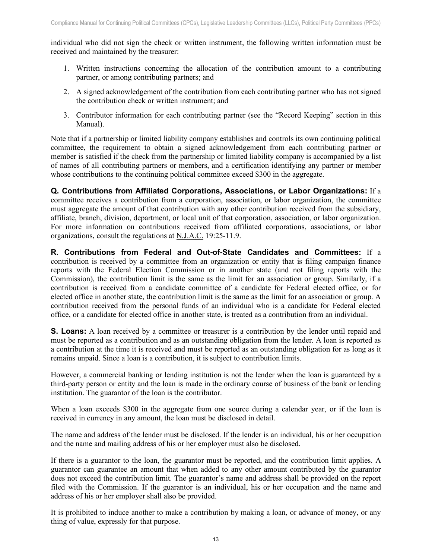individual who did not sign the check or written instrument, the following written information must be received and maintained by the treasurer:

- 1. Written instructions concerning the allocation of the contribution amount to a contributing partner, or among contributing partners; and
- 2. A signed acknowledgement of the contribution from each contributing partner who has not signed the contribution check or written instrument; and
- 3. Contributor information for each contributing partner (see the "Record Keeping" section in this Manual).

Note that if a partnership or limited liability company establishes and controls its own continuing political committee, the requirement to obtain a signed acknowledgement from each contributing partner or member is satisfied if the check from the partnership or limited liability company is accompanied by a list of names of all contributing partners or members, and a certification identifying any partner or member whose contributions to the continuing political committee exceed \$300 in the aggregate.

<span id="page-13-0"></span>**Q. Contributions from Affiliated Corporations, Associations, or Labor Organizations:** If a committee receives a contribution from a corporation, association, or labor organization, the committee must aggregate the amount of that contribution with any other contribution received from the subsidiary, affiliate, branch, division, department, or local unit of that corporation, association, or labor organization. For more information on contributions received from affiliated corporations, associations, or labor organizations, consult the regulations at N.J.A.C. 19:25-11.9.

<span id="page-13-1"></span>**R. Contributions from Federal and Out-of-State Candidates and Committees:** If a contribution is received by a committee from an organization or entity that is filing campaign finance reports with the Federal Election Commission or in another state (and not filing reports with the Commission), the contribution limit is the same as the limit for an association or group. Similarly, if a contribution is received from a candidate committee of a candidate for Federal elected office, or for elected office in another state, the contribution limit is the same as the limit for an association or group. A contribution received from the personal funds of an individual who is a candidate for Federal elected office, or a candidate for elected office in another state, is treated as a contribution from an individual.

<span id="page-13-2"></span>**S. Loans:** A loan received by a committee or treasurer is a contribution by the lender until repaid and must be reported as a contribution and as an outstanding obligation from the lender. A loan is reported as a contribution at the time it is received and must be reported as an outstanding obligation for as long as it remains unpaid. Since a loan is a contribution, it is subject to contribution limits.

However, a commercial banking or lending institution is not the lender when the loan is guaranteed by a third-party person or entity and the loan is made in the ordinary course of business of the bank or lending institution. The guarantor of the loan is the contributor.

When a loan exceeds \$300 in the aggregate from one source during a calendar year, or if the loan is received in currency in any amount, the loan must be disclosed in detail.

The name and address of the lender must be disclosed. If the lender is an individual, his or her occupation and the name and mailing address of his or her employer must also be disclosed.

If there is a guarantor to the loan, the guarantor must be reported, and the contribution limit applies. A guarantor can guarantee an amount that when added to any other amount contributed by the guarantor does not exceed the contribution limit. The guarantor's name and address shall be provided on the report filed with the Commission. If the guarantor is an individual, his or her occupation and the name and address of his or her employer shall also be provided.

It is prohibited to induce another to make a contribution by making a loan, or advance of money, or any thing of value, expressly for that purpose.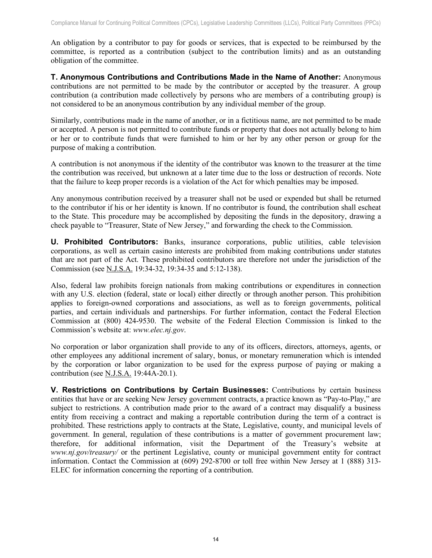An obligation by a contributor to pay for goods or services, that is expected to be reimbursed by the committee, is reported as a contribution (subject to the contribution limits) and as an outstanding obligation of the committee.

<span id="page-14-0"></span>**T. Anonymous Contributions and Contributions Made in the Name of Another:** Anonymous contributions are not permitted to be made by the contributor or accepted by the treasurer. A group contribution (a contribution made collectively by persons who are members of a contributing group) is not considered to be an anonymous contribution by any individual member of the group.

Similarly, contributions made in the name of another, or in a fictitious name, are not permitted to be made or accepted. A person is not permitted to contribute funds or property that does not actually belong to him or her or to contribute funds that were furnished to him or her by any other person or group for the purpose of making a contribution.

A contribution is not anonymous if the identity of the contributor was known to the treasurer at the time the contribution was received, but unknown at a later time due to the loss or destruction of records. Note that the failure to keep proper records is a violation of the Act for which penalties may be imposed.

Any anonymous contribution received by a treasurer shall not be used or expended but shall be returned to the contributor if his or her identity is known. If no contributor is found, the contribution shall escheat to the State. This procedure may be accomplished by depositing the funds in the depository, drawing a check payable to "Treasurer, State of New Jersey," and forwarding the check to the Commission.

<span id="page-14-1"></span>**U. Prohibited Contributors:** Banks, insurance corporations, public utilities, cable television corporations, as well as certain casino interests are prohibited from making contributions under statutes that are not part of the Act. These prohibited contributors are therefore not under the jurisdiction of the Commission (see N.J.S.A. 19:34-32, 19:34-35 and 5:12-138).

Also, federal law prohibits foreign nationals from making contributions or expenditures in connection with any U.S. election (federal, state or local) either directly or through another person. This prohibition applies to foreign-owned corporations and associations, as well as to foreign governments, political parties, and certain individuals and partnerships. For further information, contact the Federal Election Commission at (800) 424-9530. The website of the Federal Election Commission is linked to the Commission's website at: *www.elec.nj.gov*.

No corporation or labor organization shall provide to any of its officers, directors, attorneys, agents, or other employees any additional increment of salary, bonus, or monetary remuneration which is intended by the corporation or labor organization to be used for the express purpose of paying or making a contribution (see N.J.S.A. 19:44A-20.1).

<span id="page-14-2"></span>**V. Restrictions on Contributions by Certain Businesses:** Contributions by certain business entities that have or are seeking New Jersey government contracts, a practice known as "Pay-to-Play," are subject to restrictions. A contribution made prior to the award of a contract may disqualify a business entity from receiving a contract and making a reportable contribution during the term of a contract is prohibited. These restrictions apply to contracts at the State, Legislative, county, and municipal levels of government. In general, regulation of these contributions is a matter of government procurement law; therefore, for additional information, visit the Department of the Treasury's website at *www.nj.gov/treasury/* or the pertinent Legislative, county or municipal government entity for contract information. Contact the Commission at (609) 292-8700 or toll free within New Jersey at 1 (888) 313- ELEC for information concerning the reporting of a contribution.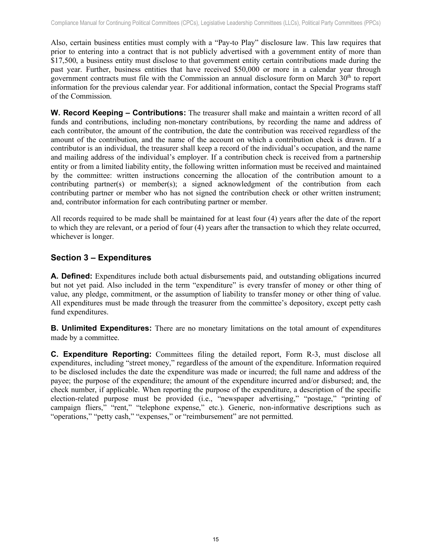Also, certain business entities must comply with a "Pay-to Play" disclosure law. This law requires that prior to entering into a contract that is not publicly advertised with a government entity of more than \$17,500, a business entity must disclose to that government entity certain contributions made during the past year. Further, business entities that have received \$50,000 or more in a calendar year through government contracts must file with the Commission an annual disclosure form on March  $30<sup>th</sup>$  to report information for the previous calendar year. For additional information, contact the Special Programs staff of the Commission.

<span id="page-15-0"></span>**W. Record Keeping – Contributions:** The treasurer shall make and maintain a written record of all funds and contributions, including non-monetary contributions, by recording the name and address of each contributor, the amount of the contribution, the date the contribution was received regardless of the amount of the contribution, and the name of the account on which a contribution check is drawn. If a contributor is an individual, the treasurer shall keep a record of the individual's occupation, and the name and mailing address of the individual's employer. If a contribution check is received from a partnership entity or from a limited liability entity, the following written information must be received and maintained by the committee: written instructions concerning the allocation of the contribution amount to a contributing partner(s) or member(s); a signed acknowledgment of the contribution from each contributing partner or member who has not signed the contribution check or other written instrument; and, contributor information for each contributing partner or member.

All records required to be made shall be maintained for at least four (4) years after the date of the report to which they are relevant, or a period of four (4) years after the transaction to which they relate occurred, whichever is longer.

# <span id="page-15-1"></span>**Section 3 – Expenditures**

<span id="page-15-2"></span>**A. Defined:** Expenditures include both actual disbursements paid, and outstanding obligations incurred but not yet paid. Also included in the term "expenditure" is every transfer of money or other thing of value, any pledge, commitment, or the assumption of liability to transfer money or other thing of value. All expenditures must be made through the treasurer from the committee's depository, except petty cash fund expenditures.

<span id="page-15-3"></span>**B. Unlimited Expenditures:** There are no monetary limitations on the total amount of expenditures made by a committee.

<span id="page-15-5"></span><span id="page-15-4"></span>**C. Expenditure Reporting:** Committees filing the detailed report, Form R-3, must disclose all expenditures, including "street money," regardless of the amount of the expenditure. Information required to be disclosed includes the date the expenditure was made or incurred; the full name and address of the payee; the purpose of the expenditure; the amount of the expenditure incurred and/or disbursed; and, the check number, if applicable. When reporting the purpose of the expenditure, a description of the specific election-related purpose must be provided (i.e., "newspaper advertising," "postage," "printing of campaign fliers," "rent," "telephone expense," etc.). Generic, non-informative descriptions such as "operations," "petty cash," "expenses," or "reimbursement" are not permitted.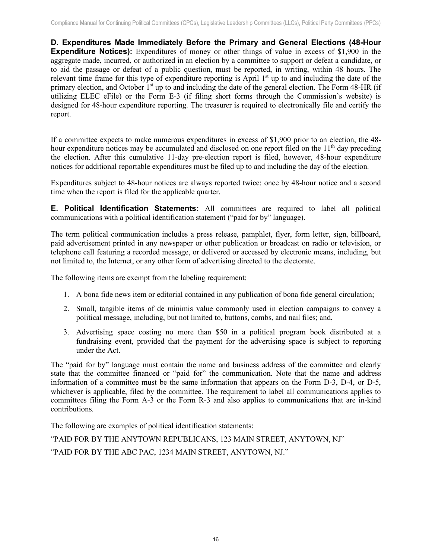**D. Expenditures Made Immediately Before the Primary and General Elections (48-Hour Expenditure Notices):** Expenditures of money or other things of value in excess of \$1,900 in the aggregate made, incurred, or authorized in an election by a committee to support or defeat a candidate, or to aid the passage or defeat of a public question, must be reported, in writing, within 48 hours. The relevant time frame for this type of expenditure reporting is April  $1<sup>st</sup>$  up to and including the date of the primary election, and October 1<sup>st</sup> up to and including the date of the general election. The Form 48-HR (if utilizing ELEC eFile) or the Form E-3 (if filing short forms through the Commission's website) is designed for 48-hour expenditure reporting. The treasurer is required to electronically file and certify the report.

If a committee expects to make numerous expenditures in excess of \$1,900 prior to an election, the 48 hour expenditure notices may be accumulated and disclosed on one report filed on the  $11<sup>th</sup>$  day preceding the election. After this cumulative 11-day pre-election report is filed, however, 48-hour expenditure notices for additional reportable expenditures must be filed up to and including the day of the election.

Expenditures subject to 48-hour notices are always reported twice: once by 48-hour notice and a second time when the report is filed for the applicable quarter.

<span id="page-16-0"></span>**E. Political Identification Statements:** All committees are required to label all political communications with a political identification statement ("paid for by" language).

The term political communication includes a press release, pamphlet, flyer, form letter, sign, billboard, paid advertisement printed in any newspaper or other publication or broadcast on radio or television, or telephone call featuring a recorded message, or delivered or accessed by electronic means, including, but not limited to, the Internet, or any other form of advertising directed to the electorate.

The following items are exempt from the labeling requirement:

- 1. A bona fide news item or editorial contained in any publication of bona fide general circulation;
- 2. Small, tangible items of de minimis value commonly used in election campaigns to convey a political message, including, but not limited to, buttons, combs, and nail files; and,
- 3. Advertising space costing no more than \$50 in a political program book distributed at a fundraising event, provided that the payment for the advertising space is subject to reporting under the Act.

The "paid for by" language must contain the name and business address of the committee and clearly state that the committee financed or "paid for" the communication. Note that the name and address information of a committee must be the same information that appears on the Form D-3, D-4, or D-5, whichever is applicable, filed by the committee. The requirement to label all communications applies to committees filing the Form A-3 or the Form R-3 and also applies to communications that are in-kind contributions.

The following are examples of political identification statements:

<span id="page-16-1"></span>"PAID FOR BY THE ANYTOWN REPUBLICANS, 123 MAIN STREET, ANYTOWN, NJ" "PAID FOR BY THE ABC PAC, 1234 MAIN STREET, ANYTOWN, NJ."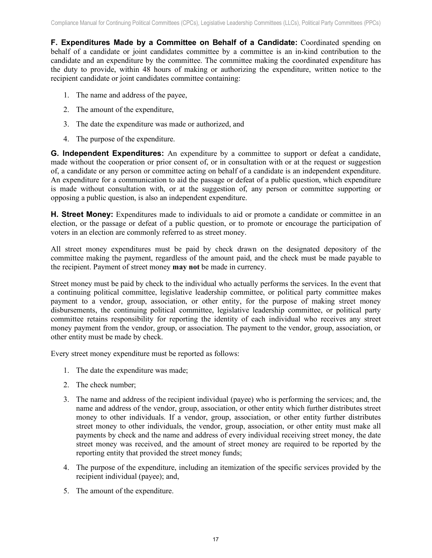**F. Expenditures Made by a Committee on Behalf of a Candidate:** Coordinated spending on behalf of a candidate or joint candidates committee by a committee is an in-kind contribution to the candidate and an expenditure by the committee. The committee making the coordinated expenditure has the duty to provide, within 48 hours of making or authorizing the expenditure, written notice to the recipient candidate or joint candidates committee containing:

- 1. The name and address of the payee,
- 2. The amount of the expenditure,
- 3. The date the expenditure was made or authorized, and
- 4. The purpose of the expenditure.

<span id="page-17-0"></span>**G. Independent Expenditures:** An expenditure by a committee to support or defeat a candidate, made without the cooperation or prior consent of, or in consultation with or at the request or suggestion of, a candidate or any person or committee acting on behalf of a candidate is an independent expenditure. An expenditure for a communication to aid the passage or defeat of a public question, which expenditure is made without consultation with, or at the suggestion of, any person or committee supporting or opposing a public question, is also an independent expenditure.

<span id="page-17-1"></span>**H. Street Money:** Expenditures made to individuals to aid or promote a candidate or committee in an election, or the passage or defeat of a public question, or to promote or encourage the participation of voters in an election are commonly referred to as street money.

All street money expenditures must be paid by check drawn on the designated depository of the committee making the payment, regardless of the amount paid, and the check must be made payable to the recipient. Payment of street money **may not** be made in currency.

Street money must be paid by check to the individual who actually performs the services. In the event that a continuing political committee, legislative leadership committee, or political party committee makes payment to a vendor, group, association, or other entity, for the purpose of making street money disbursements, the continuing political committee, legislative leadership committee, or political party committee retains responsibility for reporting the identity of each individual who receives any street money payment from the vendor, group, or association. The payment to the vendor, group, association, or other entity must be made by check.

Every street money expenditure must be reported as follows:

- 1. The date the expenditure was made;
- 2. The check number;
- 3. The name and address of the recipient individual (payee) who is performing the services; and, the name and address of the vendor, group, association, or other entity which further distributes street money to other individuals. If a vendor, group, association, or other entity further distributes street money to other individuals, the vendor, group, association, or other entity must make all payments by check and the name and address of every individual receiving street money, the date street money was received, and the amount of street money are required to be reported by the reporting entity that provided the street money funds;
- 4. The purpose of the expenditure, including an itemization of the specific services provided by the recipient individual (payee); and,
- <span id="page-17-2"></span>5. The amount of the expenditure.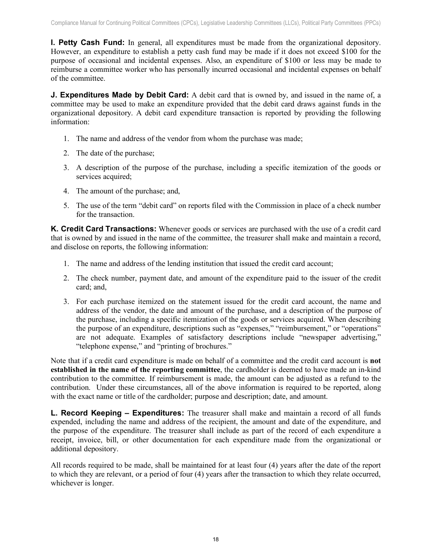**I. Petty Cash Fund:** In general, all expenditures must be made from the organizational depository. However, an expenditure to establish a petty cash fund may be made if it does not exceed \$100 for the purpose of occasional and incidental expenses. Also, an expenditure of \$100 or less may be made to reimburse a committee worker who has personally incurred occasional and incidental expenses on behalf of the committee.

<span id="page-18-0"></span>**J. Expenditures Made by Debit Card:** A debit card that is owned by, and issued in the name of, a committee may be used to make an expenditure provided that the debit card draws against funds in the organizational depository. A debit card expenditure transaction is reported by providing the following information:

- 1. The name and address of the vendor from whom the purchase was made;
- 2. The date of the purchase;
- 3. A description of the purpose of the purchase, including a specific itemization of the goods or services acquired;
- 4. The amount of the purchase; and,
- 5. The use of the term "debit card" on reports filed with the Commission in place of a check number for the transaction.

<span id="page-18-1"></span>**K. Credit Card Transactions:** Whenever goods or services are purchased with the use of a credit card that is owned by and issued in the name of the committee, the treasurer shall make and maintain a record, and disclose on reports, the following information:

- 1. The name and address of the lending institution that issued the credit card account;
- 2. The check number, payment date, and amount of the expenditure paid to the issuer of the credit card; and,
- 3. For each purchase itemized on the statement issued for the credit card account, the name and address of the vendor, the date and amount of the purchase, and a description of the purpose of the purchase, including a specific itemization of the goods or services acquired. When describing the purpose of an expenditure, descriptions such as "expenses," "reimbursement," or "operations" are not adequate. Examples of satisfactory descriptions include "newspaper advertising," "telephone expense," and "printing of brochures."

Note that if a credit card expenditure is made on behalf of a committee and the credit card account is **not established in the name of the reporting committee**, the cardholder is deemed to have made an in-kind contribution to the committee. If reimbursement is made, the amount can be adjusted as a refund to the contribution. Under these circumstances, all of the above information is required to be reported, along with the exact name or title of the cardholder; purpose and description; date, and amount.

<span id="page-18-2"></span>**L. Record Keeping – Expenditures:** The treasurer shall make and maintain a record of all funds expended, including the name and address of the recipient, the amount and date of the expenditure, and the purpose of the expenditure. The treasurer shall include as part of the record of each expenditure a receipt, invoice, bill, or other documentation for each expenditure made from the organizational or additional depository.

All records required to be made, shall be maintained for at least four (4) years after the date of the report to which they are relevant, or a period of four (4) years after the transaction to which they relate occurred, whichever is longer.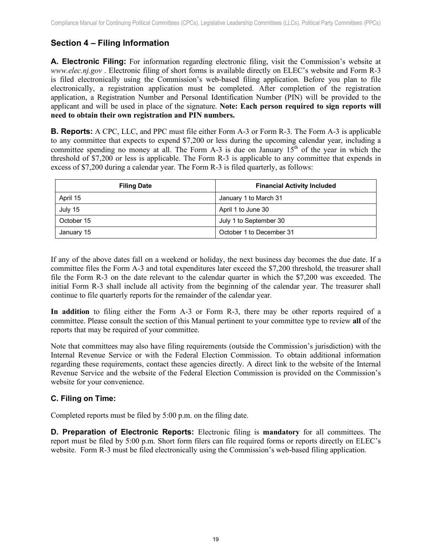# <span id="page-19-0"></span>**Section 4 – Filing Information**

<span id="page-19-1"></span>**A. Electronic Filing:** For information regarding electronic filing, visit the Commission's website at *www.elec.nj.gov* . Electronic filing of short forms is available directly on ELEC's website and Form R-3 is filed electronically using the Commission's web-based filing application. Before you plan to file electronically, a registration application must be completed. After completion of the registration application, a Registration Number and Personal Identification Number (PIN) will be provided to the applicant and will be used in place of the signature. **Note: Each person required to sign reports will need to obtain their own registration and PIN numbers.**

<span id="page-19-2"></span>**B. Reports:** A CPC, LLC, and PPC must file either Form A-3 or Form R-3. The Form A-3 is applicable to any committee that expects to expend \$7,200 or less during the upcoming calendar year, including a committee spending no money at all. The Form A-3 is due on January  $15<sup>th</sup>$  of the year in which the threshold of \$7,200 or less is applicable. The Form R-3 is applicable to any committee that expends in excess of \$7,200 during a calendar year. The Form R-3 is filed quarterly, as follows:

| <b>Filing Date</b> | <b>Financial Activity Included</b> |
|--------------------|------------------------------------|
| April 15           | January 1 to March 31              |
| July 15            | April 1 to June 30                 |
| October 15         | July 1 to September 30             |
| January 15         | October 1 to December 31           |

If any of the above dates fall on a weekend or holiday, the next business day becomes the due date. If a committee files the Form A-3 and total expenditures later exceed the \$7,200 threshold, the treasurer shall file the Form R-3 on the date relevant to the calendar quarter in which the \$7,200 was exceeded. The initial Form R-3 shall include all activity from the beginning of the calendar year. The treasurer shall continue to file quarterly reports for the remainder of the calendar year.

**In addition** to filing either the Form A-3 or Form R-3, there may be other reports required of a committee. Please consult the section of this Manual pertinent to your committee type to review **all** of the reports that may be required of your committee.

Note that committees may also have filing requirements (outside the Commission's jurisdiction) with the Internal Revenue Service or with the Federal Election Commission. To obtain additional information regarding these requirements, contact these agencies directly. A direct link to the website of the Internal Revenue Service and the website of the Federal Election Commission is provided on the Commission's website for your convenience.

# <span id="page-19-3"></span>**C. Filing on Time:**

Completed reports must be filed by 5:00 p.m. on the filing date.

<span id="page-19-4"></span>**D. Preparation of Electronic Reports:** Electronic filing is **mandatory** for all committees. The report must be filed by 5:00 p.m. Short form filers can file required forms or reports directly on ELEC's website. Form R-3 must be filed electronically using the Commission's web-based filing application.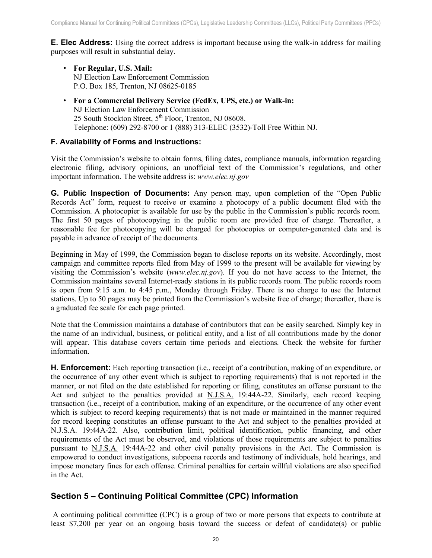<span id="page-20-0"></span>**E. Elec Address:** Using the correct address is important because using the walk-in address for mailing purposes will result in substantial delay.

- **For Regular, U.S. Mail:** NJ Election Law Enforcement Commission P.O. Box 185, Trenton, NJ 08625-0185
- **For a Commercial Delivery Service (FedEx, UPS, etc.) or Walk-in:**  NJ Election Law Enforcement Commission 25 South Stockton Street,  $5<sup>th</sup>$  Floor, Trenton, NJ 08608. Telephone: (609) 292-8700 or 1 (888) 313-ELEC (3532)-Toll Free Within NJ.

#### <span id="page-20-1"></span>**F. Availability of Forms and Instructions:**

Visit the Commission's website to obtain forms, filing dates, compliance manuals, information regarding electronic filing, advisory opinions, an unofficial text of the Commission's regulations, and other important information. The website address is: *www.elec.nj.gov*

<span id="page-20-2"></span>**G. Public Inspection of Documents:** Any person may, upon completion of the "Open Public Records Act" form, request to receive or examine a photocopy of a public document filed with the Commission. A photocopier is available for use by the public in the Commission's public records room. The first 50 pages of photocopying in the public room are provided free of charge. Thereafter, a reasonable fee for photocopying will be charged for photocopies or computer-generated data and is payable in advance of receipt of the documents.

Beginning in May of 1999, the Commission began to disclose reports on its website. Accordingly, most campaign and committee reports filed from May of 1999 to the present will be available for viewing by visiting the Commission's website (*www.elec.nj.gov*). If you do not have access to the Internet, the Commission maintains several Internet-ready stations in its public records room. The public records room is open from 9:15 a.m. to 4:45 p.m., Monday through Friday. There is no charge to use the Internet stations. Up to 50 pages may be printed from the Commission's website free of charge; thereafter, there is a graduated fee scale for each page printed.

Note that the Commission maintains a database of contributors that can be easily searched. Simply key in the name of an individual, business, or political entity, and a list of all contributions made by the donor will appear. This database covers certain time periods and elections. Check the website for further information.

<span id="page-20-3"></span>**H. Enforcement:** Each reporting transaction (i.e., receipt of a contribution, making of an expenditure, or the occurrence of any other event which is subject to reporting requirements) that is not reported in the manner, or not filed on the date established for reporting or filing, constitutes an offense pursuant to the Act and subject to the penalties provided at N.J.S.A. 19:44A-22. Similarly, each record keeping transaction (i.e., receipt of a contribution, making of an expenditure, or the occurrence of any other event which is subject to record keeping requirements) that is not made or maintained in the manner required for record keeping constitutes an offense pursuant to the Act and subject to the penalties provided at N.J.S.A. 19:44A-22. Also, contribution limit, political identification, public financing, and other requirements of the Act must be observed, and violations of those requirements are subject to penalties pursuant to N.J.S.A. 19:44A-22 and other civil penalty provisions in the Act. The Commission is empowered to conduct investigations, subpoena records and testimony of individuals, hold hearings, and impose monetary fines for each offense. Criminal penalties for certain willful violations are also specified in the Act.

# <span id="page-20-4"></span>**Section 5 – Continuing Political Committee (CPC) Information**

A continuing political committee (CPC) is a group of two or more persons that expects to contribute at least \$7,200 per year on an ongoing basis toward the success or defeat of candidate(s) or public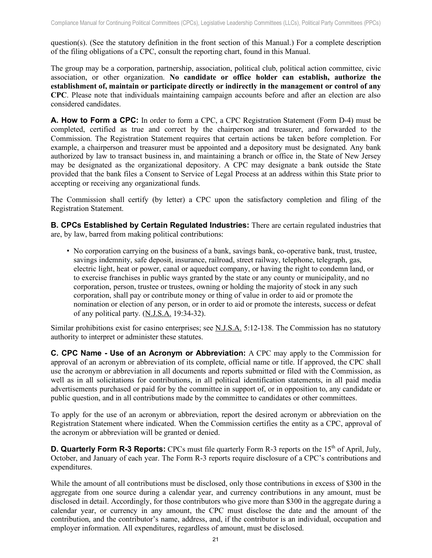question(s). (See the statutory definition in the front section of this Manual.) For a complete description of the filing obligations of a CPC, consult the reporting chart, found in this Manual.

The group may be a corporation, partnership, association, political club, political action committee, civic association, or other organization. **No candidate or office holder can establish, authorize the establishment of, maintain or participate directly or indirectly in the management or control of any CPC**. Please note that individuals maintaining campaign accounts before and after an election are also considered candidates.

<span id="page-21-0"></span>**A. How to Form a CPC:** In order to form a CPC, a CPC Registration Statement (Form D-4) must be completed, certified as true and correct by the chairperson and treasurer, and forwarded to the Commission. The Registration Statement requires that certain actions be taken before completion. For example, a chairperson and treasurer must be appointed and a depository must be designated. Any bank authorized by law to transact business in, and maintaining a branch or office in, the State of New Jersey may be designated as the organizational depository. A CPC may designate a bank outside the State provided that the bank files a Consent to Service of Legal Process at an address within this State prior to accepting or receiving any organizational funds.

The Commission shall certify (by letter) a CPC upon the satisfactory completion and filing of the Registration Statement.

<span id="page-21-1"></span>**B. CPCs Established by Certain Regulated Industries:** There are certain regulated industries that are, by law, barred from making political contributions:

• No corporation carrying on the business of a bank, savings bank, co-operative bank, trust, trustee, savings indemnity, safe deposit, insurance, railroad, street railway, telephone, telegraph, gas, electric light, heat or power, canal or aqueduct company, or having the right to condemn land, or to exercise franchises in public ways granted by the state or any county or municipality, and no corporation, person, trustee or trustees, owning or holding the majority of stock in any such corporation, shall pay or contribute money or thing of value in order to aid or promote the nomination or election of any person, or in order to aid or promote the interests, success or defeat of any political party. (N.J.S.A. 19:34-32).

Similar prohibitions exist for casino enterprises; see N.J.S.A. 5:12-138. The Commission has no statutory authority to interpret or administer these statutes.

<span id="page-21-2"></span>**C. CPC Name - Use of an Acronym or Abbreviation:** A CPC may apply to the Commission for approval of an acronym or abbreviation of its complete, official name or title. If approved, the CPC shall use the acronym or abbreviation in all documents and reports submitted or filed with the Commission, as well as in all solicitations for contributions, in all political identification statements, in all paid media advertisements purchased or paid for by the committee in support of, or in opposition to, any candidate or public question, and in all contributions made by the committee to candidates or other committees.

To apply for the use of an acronym or abbreviation, report the desired acronym or abbreviation on the Registration Statement where indicated. When the Commission certifies the entity as a CPC, approval of the acronym or abbreviation will be granted or denied.

<span id="page-21-3"></span>**D. Quarterly Form R-3 Reports:** CPCs must file quarterly Form R-3 reports on the 15<sup>th</sup> of April, July, October, and January of each year. The Form R-3 reports require disclosure of a CPC's contributions and expenditures.

While the amount of all contributions must be disclosed, only those contributions in excess of \$300 in the aggregate from one source during a calendar year, and currency contributions in any amount, must be disclosed in detail. Accordingly, for those contributors who give more than \$300 in the aggregate during a calendar year, or currency in any amount, the CPC must disclose the date and the amount of the contribution, and the contributor's name, address, and, if the contributor is an individual, occupation and employer information. All expenditures, regardless of amount, must be disclosed.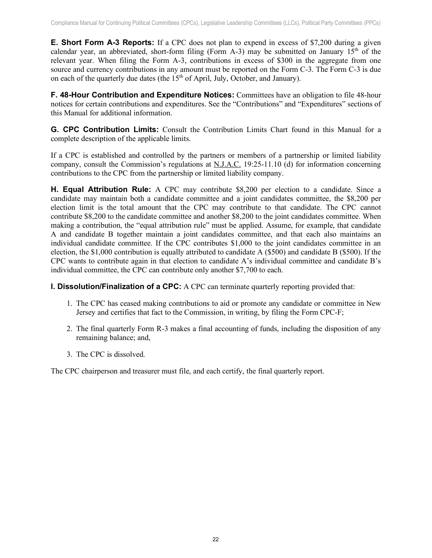<span id="page-22-0"></span>**E. Short Form A-3 Reports:** If a CPC does not plan to expend in excess of \$7,200 during a given calendar year, an abbreviated, short-form filing (Form A-3) may be submitted on January  $15<sup>th</sup>$  of the relevant year. When filing the Form A-3, contributions in excess of \$300 in the aggregate from one source and currency contributions in any amount must be reported on the Form C-3. The Form C-3 is due on each of the quarterly due dates (the  $15<sup>th</sup>$  of April, July, October, and January).

<span id="page-22-1"></span>**F. 48-Hour Contribution and Expenditure Notices:** Committees have an obligation to file 48-hour notices for certain contributions and expenditures. See the "Contributions" and "Expenditures" sections of this Manual for additional information.

<span id="page-22-2"></span>**G. CPC Contribution Limits:** Consult the Contribution Limits Chart found in this Manual for a complete description of the applicable limits.

If a CPC is established and controlled by the partners or members of a partnership or limited liability company, consult the Commission's regulations at N.J.A.C. 19:25-11.10 (d) for information concerning contributions to the CPC from the partnership or limited liability company.

<span id="page-22-3"></span>**H. Equal Attribution Rule:** A CPC may contribute \$8,200 per election to a candidate. Since a candidate may maintain both a candidate committee and a joint candidates committee, the \$8,200 per election limit is the total amount that the CPC may contribute to that candidate. The CPC cannot contribute \$8,200 to the candidate committee and another \$8,200 to the joint candidates committee. When making a contribution, the "equal attribution rule" must be applied. Assume, for example, that candidate A and candidate B together maintain a joint candidates committee, and that each also maintains an individual candidate committee. If the CPC contributes \$1,000 to the joint candidates committee in an election, the \$1,000 contribution is equally attributed to candidate A (\$500) and candidate B (\$500). If the CPC wants to contribute again in that election to candidate A's individual committee and candidate B's individual committee, the CPC can contribute only another \$7,700 to each.

<span id="page-22-4"></span>**I. Dissolution/Finalization of a CPC:** A CPC can terminate quarterly reporting provided that:

- 1. The CPC has ceased making contributions to aid or promote any candidate or committee in New Jersey and certifies that fact to the Commission, in writing, by filing the Form CPC-F;
- 2. The final quarterly Form R-3 makes a final accounting of funds, including the disposition of any remaining balance; and,
- 3. The CPC is dissolved.

The CPC chairperson and treasurer must file, and each certify, the final quarterly report.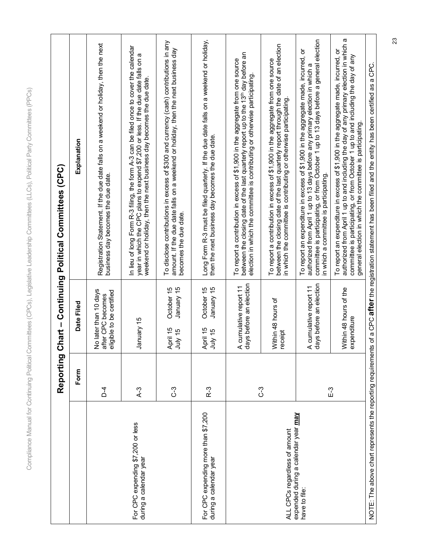| U<br>þ<br>$\overline{\phantom{a}}$<br>)<br>$\begin{array}{c} \end{array}$<br>١<br>ļ<br>J                                                            |  |
|-----------------------------------------------------------------------------------------------------------------------------------------------------|--|
| $\overline{\mathbf{C}}$<br>١<br>$\overline{\mathbf{C}}$<br>ļ<br>١<br>$\overline{\phantom{a}}$<br>I<br>į<br>ı<br>٤<br>į<br>I<br>Ī<br>I<br>)          |  |
| j<br>j<br>Ï<br>I<br>١<br>į<br>ī<br>ì<br>١<br>١                                                                                                      |  |
| I<br>١<br>1<br>I<br>S<br>Į                                                                                                                          |  |
| ┚<br>iees?<br>Ò<br>Ē<br>.<br>آ                                                                                                                      |  |
| I<br>I<br>ŗ<br>$\frac{1}{6}$<br>j<br>J<br>ś<br>ç<br>j<br>ĵ<br>ì<br>j<br>d<br>١                                                                      |  |
| J<br>j<br>ξ<br>ಸ<br>$\overline{0}$<br>$\overline{a}$                                                                                                |  |
| i<br>j<br>)<br>ì<br>$\overline{\phantom{a}}$<br>I                                                                                                   |  |
| J<br>$\overline{\mathbf{C}}$<br>J<br>j<br>$\overline{\phantom{a}}$<br>)<br>j<br>$\overline{\mathbb{I}}$                                             |  |
| $\overline{\phantom{a}}$<br>$\mathcal{I}$<br>Ō<br>ì<br>ă<br>Ì<br>)<br>۱<br>į<br>٤<br>$\overline{\phantom{a}}$<br>I<br>l<br>$\overline{\phantom{a}}$ |  |
| $\overline{6}$<br>Í<br>Ç<br>١<br>ł<br>ī<br>١<br>١<br>I                                                                                              |  |
| ₹<br>S<br>$\overline{)}$<br>$\frac{1}{2}$<br>֕<br>į<br>ē                                                                                            |  |
| ĵ<br>I<br>١<br>ł<br>ī<br>ı<br>Ś<br>ï<br>ļ<br>$\overline{\phantom{a}}$<br>j<br>é<br>ć                                                                |  |
| Ï<br>١<br>I<br>١<br>ļ<br>$\overline{\phantom{a}}$<br>S<br>j<br>ļ<br>Ï<br>١<br>)<br>$\overline{\phantom{a}}$                                         |  |

|                                                               | Reporting      |                                                                        | Chart – Continuing Political Committees (CPC)                                                                                                                                                                                                                                                                                |
|---------------------------------------------------------------|----------------|------------------------------------------------------------------------|------------------------------------------------------------------------------------------------------------------------------------------------------------------------------------------------------------------------------------------------------------------------------------------------------------------------------|
|                                                               | Form           | Date Filed                                                             | Explanation                                                                                                                                                                                                                                                                                                                  |
|                                                               | $\overline{C}$ | No later than 10 days<br>eligible to be certified<br>after CPC becomes | Registration Statement. If the due date falls on a weekend or holiday, then the next<br>business day becomes the due date.                                                                                                                                                                                                   |
| For CPC expending \$7,200 or less<br>during a calendar year   | $A-3$          | January 15                                                             | In lieu of long Form R-3 filing, the form A-3 can be filed once to cover the calendar<br>œ<br>year in which the CPC plans to expend \$7,200 or less. If the due date falls on<br>weekend or holiday, then the next business day becomes the due date.                                                                        |
|                                                               | ြိ             | January 15<br>October 15<br>April 15<br>July 15                        | To disclose contributions in excess of \$300 and currency (cash) contributions in any<br>amount. If the due date falls on a weekend or holiday, then the next business day<br>becomes the due date.                                                                                                                          |
| For CPC expending more than \$7,200<br>during a calendar year | R-3            | October 15<br>January 15<br>April 15<br>July 15                        | Long Form R-3 must be filed quarterly. If the due date falls on a weekend or holiday,<br>then the next business day becomes the due date.                                                                                                                                                                                    |
|                                                               | ე<br>ე         | days before an election<br>A cumulative report 11                      | between the closing date of the last quarterly report up to the 13th day before an<br>To report a contribution in excess of \$1,900 in the aggregate from one source<br>election in which the committee is contributing or otherwise participating                                                                           |
| ALL CPCs regardless of amount                                 |                | Within 48 hours of<br>receipt                                          | between the closing date of the last quarterly report through the date of an election<br>To report a contribution in excess of \$1,900 in the aggregate from one source<br>in which the committee is contributing or otherwise participating                                                                                 |
| expended during a calendar year may<br>have to file:          | E-3            | days before an election<br>A cumulative report 11                      | committee is participating, or from October 1 up to 13 days before a general election<br>To report an expenditure in excess of \$1,900 in the aggregate made, incurred, or<br>authorized from April 1 up to 13 days before any primary election in which a<br>in which a committee is participating.                         |
|                                                               |                | Within 48 hours of the<br>expenditure                                  | authorized from April 1 up to and including the day of any primary election in which a<br>To report an expenditure in excess of \$1,900 in the aggregate made, incurred, or<br>committee is participating, or from October 1 up to and including the day of any<br>general election in which the committee is participating. |
|                                                               |                |                                                                        | NOTE: The above chart represents the reporting requirements of a CPC <b>after</b> the registration statement has been filed and the entity has been certified as a CPC.                                                                                                                                                      |

23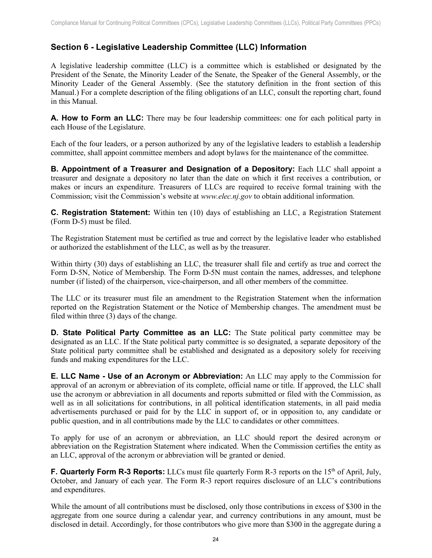# <span id="page-24-0"></span>**Section 6 - Legislative Leadership Committee (LLC) Information**

A legislative leadership committee (LLC) is a committee which is established or designated by the President of the Senate, the Minority Leader of the Senate, the Speaker of the General Assembly, or the Minority Leader of the General Assembly. (See the statutory definition in the front section of this Manual.) For a complete description of the filing obligations of an LLC, consult the reporting chart, found in this Manual.

<span id="page-24-1"></span>**A. How to Form an LLC:** There may be four leadership committees: one for each political party in each House of the Legislature.

Each of the four leaders, or a person authorized by any of the legislative leaders to establish a leadership committee, shall appoint committee members and adopt bylaws for the maintenance of the committee.

<span id="page-24-2"></span>**B. Appointment of a Treasurer and Designation of a Depository:** Each LLC shall appoint a treasurer and designate a depository no later than the date on which it first receives a contribution, or makes or incurs an expenditure. Treasurers of LLCs are required to receive formal training with the Commission; visit the Commission's website at *www.elec.nj.gov* to obtain additional information.

<span id="page-24-3"></span>**C. Registration Statement:** Within ten (10) days of establishing an LLC, a Registration Statement (Form D-5) must be filed.

The Registration Statement must be certified as true and correct by the legislative leader who established or authorized the establishment of the LLC, as well as by the treasurer.

Within thirty (30) days of establishing an LLC, the treasurer shall file and certify as true and correct the Form D-5N, Notice of Membership. The Form D-5N must contain the names, addresses, and telephone number (if listed) of the chairperson, vice-chairperson, and all other members of the committee.

The LLC or its treasurer must file an amendment to the Registration Statement when the information reported on the Registration Statement or the Notice of Membership changes. The amendment must be filed within three (3) days of the change.

<span id="page-24-4"></span>**D. State Political Party Committee as an LLC:** The State political party committee may be designated as an LLC. If the State political party committee is so designated, a separate depository of the State political party committee shall be established and designated as a depository solely for receiving funds and making expenditures for the LLC.

<span id="page-24-5"></span>**E. LLC Name - Use of an Acronym or Abbreviation:** An LLC may apply to the Commission for approval of an acronym or abbreviation of its complete, official name or title. If approved, the LLC shall use the acronym or abbreviation in all documents and reports submitted or filed with the Commission, as well as in all solicitations for contributions, in all political identification statements, in all paid media advertisements purchased or paid for by the LLC in support of, or in opposition to, any candidate or public question, and in all contributions made by the LLC to candidates or other committees.

To apply for use of an acronym or abbreviation, an LLC should report the desired acronym or abbreviation on the Registration Statement where indicated. When the Commission certifies the entity as an LLC, approval of the acronym or abbreviation will be granted or denied.

<span id="page-24-6"></span>**F.** Quarterly Form R-3 Reports: LLCs must file quarterly Form R-3 reports on the 15<sup>th</sup> of April, July, October, and January of each year. The Form R-3 report requires disclosure of an LLC's contributions and expenditures.

While the amount of all contributions must be disclosed, only those contributions in excess of \$300 in the aggregate from one source during a calendar year, and currency contributions in any amount, must be disclosed in detail. Accordingly, for those contributors who give more than \$300 in the aggregate during a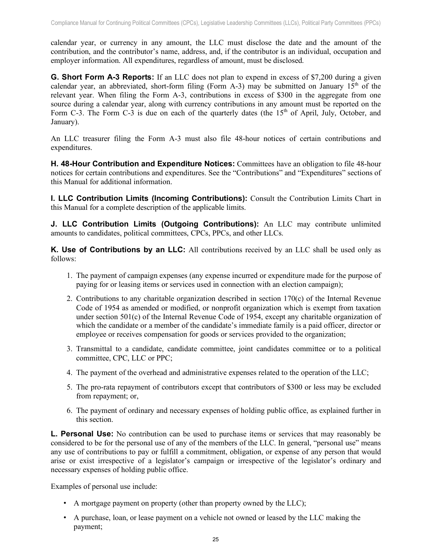calendar year, or currency in any amount, the LLC must disclose the date and the amount of the contribution, and the contributor's name, address, and, if the contributor is an individual, occupation and employer information. All expenditures, regardless of amount, must be disclosed.

<span id="page-25-0"></span>**G. Short Form A-3 Reports:** If an LLC does not plan to expend in excess of \$7,200 during a given calendar year, an abbreviated, short-form filing (Form A-3) may be submitted on January  $15<sup>th</sup>$  of the relevant year. When filing the Form A-3, contributions in excess of \$300 in the aggregate from one source during a calendar year, along with currency contributions in any amount must be reported on the Form C-3. The Form C-3 is due on each of the quarterly dates (the 15<sup>th</sup> of April, July, October, and January).

An LLC treasurer filing the Form A-3 must also file 48-hour notices of certain contributions and expenditures.

<span id="page-25-1"></span>**H. 48-Hour Contribution and Expenditure Notices:** Committees have an obligation to file 48-hour notices for certain contributions and expenditures. See the "Contributions" and "Expenditures" sections of this Manual for additional information.

<span id="page-25-2"></span>**I. LLC Contribution Limits (Incoming Contributions):** Consult the Contribution Limits Chart in this Manual for a complete description of the applicable limits.

<span id="page-25-3"></span>**J. LLC Contribution Limits (Outgoing Contributions):** An LLC may contribute unlimited amounts to candidates, political committees, CPCs, PPCs, and other LLCs.

<span id="page-25-4"></span>**K. Use of Contributions by an LLC:** All contributions received by an LLC shall be used only as follows:

- 1. The payment of campaign expenses (any expense incurred or expenditure made for the purpose of paying for or leasing items or services used in connection with an election campaign);
- 2. Contributions to any charitable organization described in section  $170(c)$  of the Internal Revenue Code of 1954 as amended or modified, or nonprofit organization which is exempt from taxation under section 501(c) of the Internal Revenue Code of 1954, except any charitable organization of which the candidate or a member of the candidate's immediate family is a paid officer, director or employee or receives compensation for goods or services provided to the organization;
- 3. Transmittal to a candidate, candidate committee, joint candidates committee or to a political committee, CPC, LLC or PPC;
- 4. The payment of the overhead and administrative expenses related to the operation of the LLC;
- 5. The pro-rata repayment of contributors except that contributors of \$300 or less may be excluded from repayment; or,
- 6. The payment of ordinary and necessary expenses of holding public office, as explained further in this section.

<span id="page-25-5"></span>**L. Personal Use:** No contribution can be used to purchase items or services that may reasonably be considered to be for the personal use of any of the members of the LLC. In general, "personal use" means any use of contributions to pay or fulfill a commitment, obligation, or expense of any person that would arise or exist irrespective of a legislator's campaign or irrespective of the legislator's ordinary and necessary expenses of holding public office.

Examples of personal use include:

- A mortgage payment on property (other than property owned by the LLC);
- A purchase, loan, or lease payment on a vehicle not owned or leased by the LLC making the payment;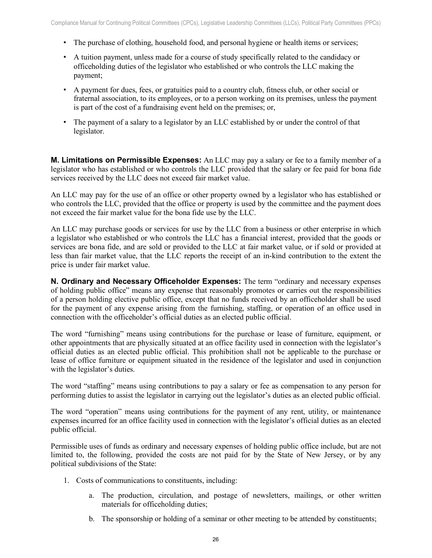- The purchase of clothing, household food, and personal hygiene or health items or services;
- A tuition payment, unless made for a course of study specifically related to the candidacy or officeholding duties of the legislator who established or who controls the LLC making the payment;
- A payment for dues, fees, or gratuities paid to a country club, fitness club, or other social or fraternal association, to its employees, or to a person working on its premises, unless the payment is part of the cost of a fundraising event held on the premises; or,
- The payment of a salary to a legislator by an LLC established by or under the control of that legislator.

<span id="page-26-0"></span>**M. Limitations on Permissible Expenses:** An LLC may pay a salary or fee to a family member of a legislator who has established or who controls the LLC provided that the salary or fee paid for bona fide services received by the LLC does not exceed fair market value.

An LLC may pay for the use of an office or other property owned by a legislator who has established or who controls the LLC, provided that the office or property is used by the committee and the payment does not exceed the fair market value for the bona fide use by the LLC.

An LLC may purchase goods or services for use by the LLC from a business or other enterprise in which a legislator who established or who controls the LLC has a financial interest, provided that the goods or services are bona fide, and are sold or provided to the LLC at fair market value, or if sold or provided at less than fair market value, that the LLC reports the receipt of an in-kind contribution to the extent the price is under fair market value.

<span id="page-26-1"></span>**N. Ordinary and Necessary Officeholder Expenses:** The term "ordinary and necessary expenses of holding public office" means any expense that reasonably promotes or carries out the responsibilities of a person holding elective public office, except that no funds received by an officeholder shall be used for the payment of any expense arising from the furnishing, staffing, or operation of an office used in connection with the officeholder's official duties as an elected public official.

The word "furnishing" means using contributions for the purchase or lease of furniture, equipment, or other appointments that are physically situated at an office facility used in connection with the legislator's official duties as an elected public official. This prohibition shall not be applicable to the purchase or lease of office furniture or equipment situated in the residence of the legislator and used in conjunction with the legislator's duties.

The word "staffing" means using contributions to pay a salary or fee as compensation to any person for performing duties to assist the legislator in carrying out the legislator's duties as an elected public official.

The word "operation" means using contributions for the payment of any rent, utility, or maintenance expenses incurred for an office facility used in connection with the legislator's official duties as an elected public official.

Permissible uses of funds as ordinary and necessary expenses of holding public office include, but are not limited to, the following, provided the costs are not paid for by the State of New Jersey, or by any political subdivisions of the State:

- 1. Costs of communications to constituents, including:
	- a. The production, circulation, and postage of newsletters, mailings, or other written materials for officeholding duties;
	- b. The sponsorship or holding of a seminar or other meeting to be attended by constituents;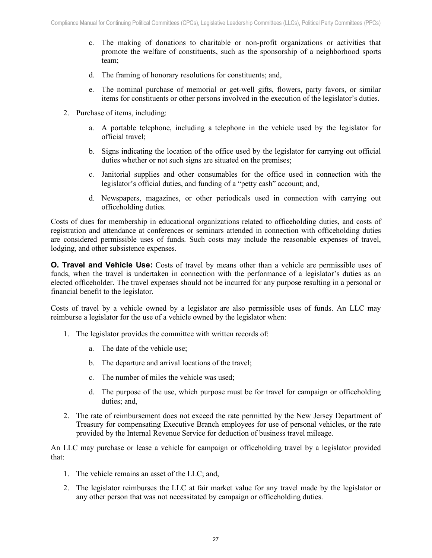- c. The making of donations to charitable or non-profit organizations or activities that promote the welfare of constituents, such as the sponsorship of a neighborhood sports team;
- d. The framing of honorary resolutions for constituents; and,
- e. The nominal purchase of memorial or get-well gifts, flowers, party favors, or similar items for constituents or other persons involved in the execution of the legislator's duties.
- 2. Purchase of items, including:
	- a. A portable telephone, including a telephone in the vehicle used by the legislator for official travel;
	- b. Signs indicating the location of the office used by the legislator for carrying out official duties whether or not such signs are situated on the premises;
	- c. Janitorial supplies and other consumables for the office used in connection with the legislator's official duties, and funding of a "petty cash" account; and,
	- d. Newspapers, magazines, or other periodicals used in connection with carrying out officeholding duties.

Costs of dues for membership in educational organizations related to officeholding duties, and costs of registration and attendance at conferences or seminars attended in connection with officeholding duties are considered permissible uses of funds. Such costs may include the reasonable expenses of travel, lodging, and other subsistence expenses.

<span id="page-27-0"></span>**O. Travel and Vehicle Use:** Costs of travel by means other than a vehicle are permissible uses of funds, when the travel is undertaken in connection with the performance of a legislator's duties as an elected officeholder. The travel expenses should not be incurred for any purpose resulting in a personal or financial benefit to the legislator.

Costs of travel by a vehicle owned by a legislator are also permissible uses of funds. An LLC may reimburse a legislator for the use of a vehicle owned by the legislator when:

- 1. The legislator provides the committee with written records of:
	- a. The date of the vehicle use;
	- b. The departure and arrival locations of the travel;
	- c. The number of miles the vehicle was used;
	- d. The purpose of the use, which purpose must be for travel for campaign or officeholding duties; and,
- 2. The rate of reimbursement does not exceed the rate permitted by the New Jersey Department of Treasury for compensating Executive Branch employees for use of personal vehicles, or the rate provided by the Internal Revenue Service for deduction of business travel mileage.

An LLC may purchase or lease a vehicle for campaign or officeholding travel by a legislator provided that:

- 1. The vehicle remains an asset of the LLC; and,
- 2. The legislator reimburses the LLC at fair market value for any travel made by the legislator or any other person that was not necessitated by campaign or officeholding duties.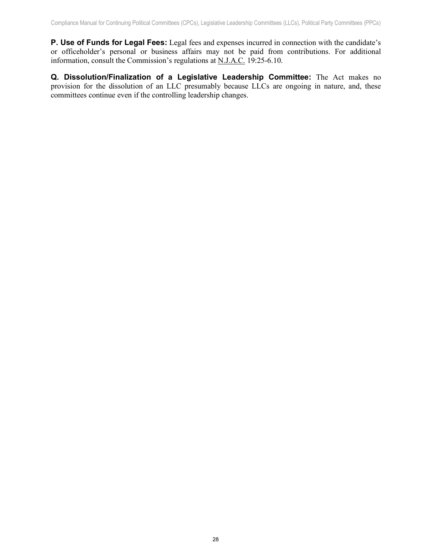<span id="page-28-0"></span>**P. Use of Funds for Legal Fees:** Legal fees and expenses incurred in connection with the candidate's or officeholder's personal or business affairs may not be paid from contributions. For additional information, consult the Commission's regulations at N.J.A.C. 19:25-6.10.

<span id="page-28-1"></span>**Q. Dissolution/Finalization of a Legislative Leadership Committee:** The Act makes no provision for the dissolution of an LLC presumably because LLCs are ongoing in nature, and, these committees continue even if the controlling leadership changes.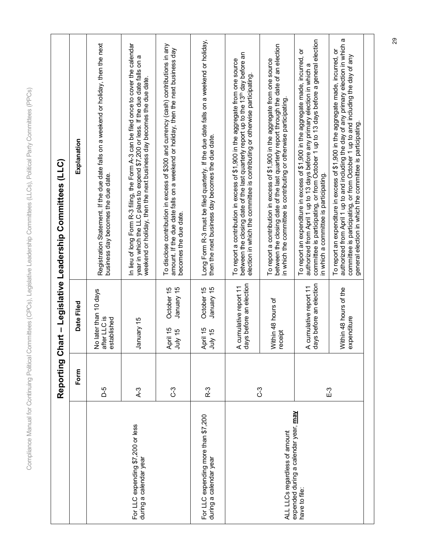| Ù<br>١                                                   |                |
|----------------------------------------------------------|----------------|
| $\overline{\mathbb{Q}}$<br>j                             |                |
| Í<br>ĺ                                                   |                |
|                                                          |                |
| ĺ<br>j                                                   |                |
|                                                          |                |
| ĕ<br>١                                                   |                |
| é d<br>j                                                 |                |
| ŧ                                                        |                |
| Ì                                                        |                |
| į                                                        |                |
|                                                          |                |
| Į                                                        |                |
| $\overline{\mathbf{C}}$                                  |                |
| $\overline{)}$<br>ţ                                      |                |
|                                                          |                |
| í<br>ï<br>j                                              |                |
| $\overline{\phantom{a}}$                                 |                |
|                                                          |                |
| I                                                        |                |
| ĵ                                                        |                |
| $\overline{\phantom{a}}$<br>$\overline{\mathbf{C}}$<br>) |                |
|                                                          |                |
|                                                          |                |
| ١                                                        |                |
| I<br>1                                                   |                |
|                                                          |                |
| Ù<br>j                                                   |                |
|                                                          |                |
| )<br>$\overline{\mathcal{L}}$                            |                |
| J                                                        |                |
| J                                                        |                |
| ý                                                        |                |
| Ų                                                        |                |
| į                                                        |                |
| inee<br>)                                                |                |
|                                                          |                |
| 3                                                        |                |
|                                                          |                |
| į                                                        |                |
| $\zeta$<br>١                                             |                |
| I<br>)                                                   |                |
|                                                          |                |
| ļ                                                        |                |
|                                                          |                |
| $\overline{\phantom{a}}$                                 |                |
| ļ<br>١                                                   |                |
| ğ<br>١                                                   |                |
| 7<br>ĵ                                                   |                |
| $\ddot{\phantom{a}}$<br>ĵ                                |                |
| ć<br>١                                                   |                |
| Ï                                                        |                |
|                                                          |                |
| ģ<br>)                                                   |                |
|                                                          |                |
| E                                                        |                |
| Ć<br>ĵ                                                   |                |
|                                                          |                |
| $\overline{\mathcal{L}}$<br>$\overline{D}$               |                |
|                                                          |                |
| ŧ<br>į                                                   | $\overline{)}$ |
| I<br>١                                                   |                |
| J                                                        |                |
|                                                          |                |
| U<br>)                                                   |                |
| $\overline{\mathcal{L}}$<br>)                            |                |
|                                                          |                |
| $\overline{1}$<br>j                                      |                |
| ζ<br>$\overline{\mathcal{L}}$                            |                |
| ÷                                                        |                |
|                                                          |                |
|                                                          |                |
|                                                          |                |
|                                                          |                |
| <b>IITTEES</b>                                           |                |
| Į                                                        |                |
| Į                                                        |                |
| Ï<br>١                                                   |                |
| I                                                        |                |
|                                                          |                |
|                                                          |                |
| $\frac{1}{\sigma}$                                       |                |
| Š                                                        |                |
| j                                                        |                |
|                                                          |                |
| ١<br>I                                                   |                |
| ׇ֘֒                                                      |                |
| j                                                        | J              |
| $\overline{a}$                                           |                |
|                                                          |                |
|                                                          |                |
|                                                          |                |
| į                                                        |                |
| ≒<br>I                                                   |                |
|                                                          |                |
| ł                                                        |                |
| $\overline{\phantom{a}}$<br>۱                            |                |
| ł                                                        |                |
|                                                          |                |
| I<br>j                                                   |                |
|                                                          |                |
| į                                                        |                |
| Ï                                                        |                |
| ξ                                                        |                |
|                                                          |                |
| I<br>١                                                   |                |
| $\overline{\phantom{a}}$<br>I                            |                |
| j                                                        |                |
| I<br>۱                                                   |                |
|                                                          |                |
| ļ                                                        |                |
| j                                                        |                |
| $\overline{\phantom{a}}$<br>I                            |                |
| )<br>I                                                   |                |

|                                                               | Reporting CI |                                                      | hart – Legislative Leadership Committees (LLC)                                                                                                                                                                                                                                                                               |  |
|---------------------------------------------------------------|--------------|------------------------------------------------------|------------------------------------------------------------------------------------------------------------------------------------------------------------------------------------------------------------------------------------------------------------------------------------------------------------------------------|--|
|                                                               | Form         | Date Filed                                           | Explanation                                                                                                                                                                                                                                                                                                                  |  |
|                                                               | 5-0          | No later than 10 days<br>after LLC is<br>established | Registration Statement. If the due date falls on a weekend or holiday, then the next<br>business day becomes the due date.                                                                                                                                                                                                   |  |
| For LLC expending \$7,200 or less<br>during a calendar year   | $A-3$        | January 15                                           | In lieu of long Form R-3 filing, the Form A-3 can be filed once to cover the calendar<br>year in which the LLC plans to expend \$7,200 or less. If the due date falls on a<br>weekend or holiday, then the next business day becomes the due date.                                                                           |  |
|                                                               | ြိ           | October 15<br>January 15<br>April 15<br>July 15      | To disclose contribution in excess of \$300 and currency (cash) contributions in any<br>amount. If the due date falls on a weekend or holiday, then the next business day<br>becomes the due date.                                                                                                                           |  |
| For LLC expending more than \$7,200<br>during a calendar year | R-3          | October 15<br>January 15<br>April 15<br>July 15      | Long Form R-3 must be filed quarterly. If the due date falls on a weekend or holiday,<br>then the next business day becomes the due date.                                                                                                                                                                                    |  |
|                                                               | <u>ှ</u>     | days before an election<br>A cumulative report 11    | between the closing date of the last quarterly report up to the 13th day before an<br>To report a contribution in excess of \$1,900 in the aggregate from one source<br>election in which the committee is contributing or otherwise participating                                                                           |  |
| ALL LLCs regardless of amount                                 |              | Within 48 hours of<br>eceipt                         | between the closing date of the last quarterly report through the date of an election<br>To report a contribution in excess of \$1,900 in the aggregate from one source<br>in which the committee is contributing or otherwise participating.                                                                                |  |
| expended during a calendar year, <b>may</b><br>have to file:  | E-3          | days before an election<br>A cumulative report 11    | committee is participating, or from October 1 up to 13 days before a general election<br>To report an expenditure in excess of \$1,900 in the aggregate made, incurred, or<br>authorized from April 1 up to 13 days before any primary election in which a<br>in which a committee is participating.                         |  |
|                                                               |              | Within 48 hours of the<br>expenditure                | authorized from April 1 up to and including the day of any primary election in which a<br>To report an expenditure in excess of \$1,900 in the aggregate made, incurred, or<br>committee is participating, or from October 1 up to and including the day of any<br>general election in which the committee is participating. |  |
|                                                               |              |                                                      |                                                                                                                                                                                                                                                                                                                              |  |

29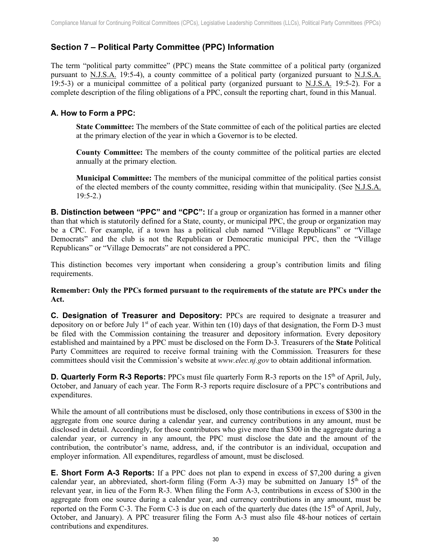# <span id="page-30-0"></span>**Section 7 – Political Party Committee (PPC) Information**

The term "political party committee" (PPC) means the State committee of a political party (organized pursuant to N.J.S.A. 19:5-4), a county committee of a political party (organized pursuant to N.J.S.A. 19:5-3) or a municipal committee of a political party (organized pursuant to N.J.S.A. 19:5-2). For a complete description of the filing obligations of a PPC, consult the reporting chart, found in this Manual.

#### <span id="page-30-1"></span>**A. How to Form a PPC:**

**State Committee:** The members of the State committee of each of the political parties are elected at the primary election of the year in which a Governor is to be elected.

**County Committee:** The members of the county committee of the political parties are elected annually at the primary election.

**Municipal Committee:** The members of the municipal committee of the political parties consist of the elected members of the county committee, residing within that municipality. (See N.J.S.A. 19:5-2.)

<span id="page-30-2"></span>**B. Distinction between "PPC" and "CPC":** If a group or organization has formed in a manner other than that which is statutorily defined for a State, county, or municipal PPC, the group or organization may be a CPC. For example, if a town has a political club named "Village Republicans" or "Village Democrats" and the club is not the Republican or Democratic municipal PPC, then the "Village Republicans" or "Village Democrats" are not considered a PPC.

This distinction becomes very important when considering a group's contribution limits and filing requirements.

#### **Remember: Only the PPCs formed pursuant to the requirements of the statute are PPCs under the Act.**

<span id="page-30-3"></span>**C. Designation of Treasurer and Depository:** PPCs are required to designate a treasurer and depository on or before July  $1<sup>st</sup>$  of each year. Within ten (10) days of that designation, the Form D-3 must be filed with the Commission containing the treasurer and depository information. Every depository established and maintained by a PPC must be disclosed on the Form D-3. Treasurers of the **State** Political Party Committees are required to receive formal training with the Commission. Treasurers for these committees should visit the Commission's website at *www.elec.nj.gov* to obtain additional information.

<span id="page-30-4"></span>**D.** Quarterly Form R-3 Reports: PPCs must file quarterly Form R-3 reports on the 15<sup>th</sup> of April, July, October, and January of each year. The Form R-3 reports require disclosure of a PPC's contributions and expenditures.

While the amount of all contributions must be disclosed, only those contributions in excess of \$300 in the aggregate from one source during a calendar year, and currency contributions in any amount, must be disclosed in detail. Accordingly, for those contributors who give more than \$300 in the aggregate during a calendar year, or currency in any amount, the PPC must disclose the date and the amount of the contribution, the contributor's name, address, and, if the contributor is an individual, occupation and employer information. All expenditures, regardless of amount, must be disclosed.

<span id="page-30-5"></span>**E. Short Form A-3 Reports:** If a PPC does not plan to expend in excess of \$7,200 during a given calendar year, an abbreviated, short-form filing (Form A-3) may be submitted on January  $15<sup>th</sup>$  of the relevant year, in lieu of the Form R-3. When filing the Form A-3, contributions in excess of \$300 in the aggregate from one source during a calendar year, and currency contributions in any amount, must be reported on the Form C-3. The Form C-3 is due on each of the quarterly due dates (the  $15<sup>th</sup>$  of April, July, October, and January). A PPC treasurer filing the Form A-3 must also file 48-hour notices of certain contributions and expenditures.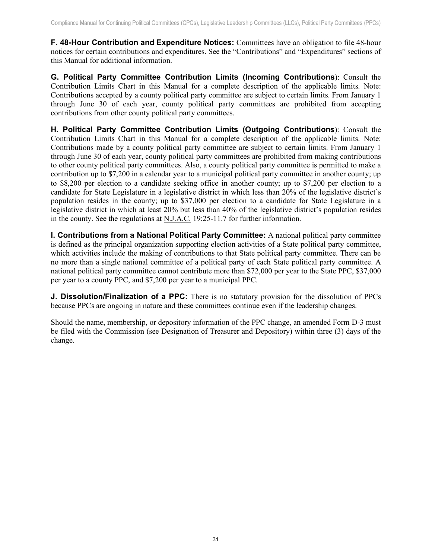<span id="page-31-0"></span>**F. 48-Hour Contribution and Expenditure Notices:** Committees have an obligation to file 48-hour notices for certain contributions and expenditures. See the "Contributions" and "Expenditures" sections of this Manual for additional information.

<span id="page-31-1"></span>**G. Political Party Committee Contribution Limits (Incoming Contributions**): Consult the Contribution Limits Chart in this Manual for a complete description of the applicable limits. Note: Contributions accepted by a county political party committee are subject to certain limits. From January 1 through June 30 of each year, county political party committees are prohibited from accepting contributions from other county political party committees.

<span id="page-31-2"></span>**H. Political Party Committee Contribution Limits (Outgoing Contributions**): Consult the Contribution Limits Chart in this Manual for a complete description of the applicable limits. Note: Contributions made by a county political party committee are subject to certain limits. From January 1 through June 30 of each year, county political party committees are prohibited from making contributions to other county political party committees. Also, a county political party committee is permitted to make a contribution up to \$7,200 in a calendar year to a municipal political party committee in another county; up to \$8,200 per election to a candidate seeking office in another county; up to \$7,200 per election to a candidate for State Legislature in a legislative district in which less than 20% of the legislative district's population resides in the county; up to \$37,000 per election to a candidate for State Legislature in a legislative district in which at least 20% but less than 40% of the legislative district's population resides in the county. See the regulations at N.J.A.C. 19:25-11.7 for further information.

<span id="page-31-3"></span>**I. Contributions from a National Political Party Committee:** A national political party committee is defined as the principal organization supporting election activities of a State political party committee, which activities include the making of contributions to that State political party committee. There can be no more than a single national committee of a political party of each State political party committee. A national political party committee cannot contribute more than \$72,000 per year to the State PPC, \$37,000 per year to a county PPC, and \$7,200 per year to a municipal PPC.

<span id="page-31-4"></span>**J. Dissolution/Finalization of a PPC:** There is no statutory provision for the dissolution of PPCs because PPCs are ongoing in nature and these committees continue even if the leadership changes.

Should the name, membership, or depository information of the PPC change, an amended Form D-3 must be filed with the Commission (see Designation of Treasurer and Depository) within three (3) days of the change.